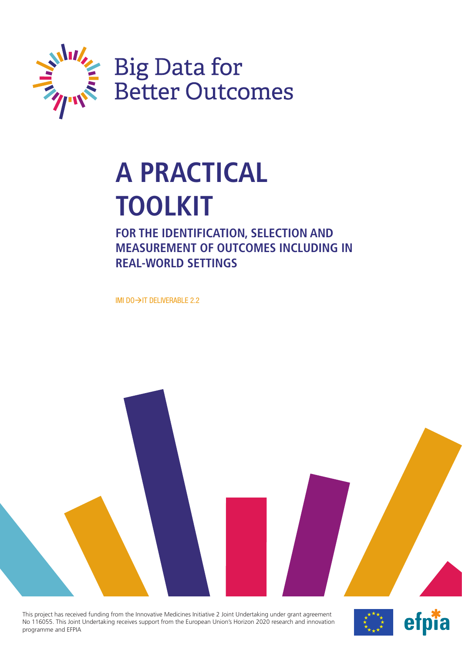

# **A PRACTICAL TOOLKIT**

**FOR THE IDENTIFICATION, SELECTION AND MEASUREMENT OF OUTCOMES INCLUDING IN REAL-WORLD SETTINGS**

IMI DO $\rightarrow$ IT DELIVERABLE 2.2



This project has received funding from the Innovative Medicines Initiative 2 Joint Undertaking under grant agreement No 116055. This Joint Undertaking receives support from the European Union's Horizon 2020 research and innovation programme and EFPIA

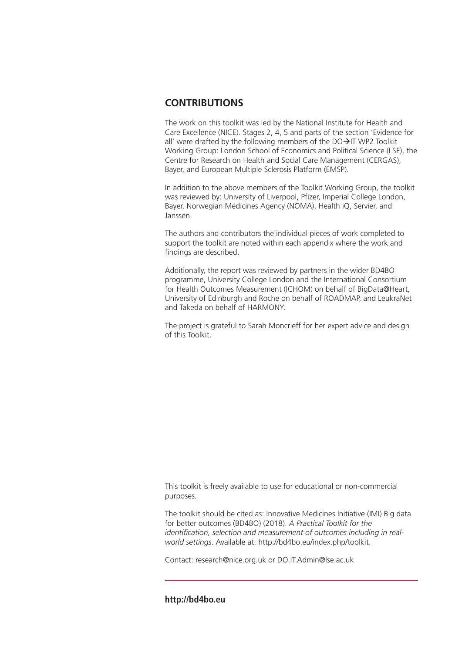### **CONTRIBUTIONS**

The work on this toolkit was led by the National Institute for Health and Care Excellence (NICE). Stages 2, 4, 5 and parts of the section 'Evidence for all' were drafted by the following members of the  $DO\rightarrow$ IT WP2 Toolkit Working Group: London School of Economics and Political Science (LSE), the Centre for Research on Health and Social Care Management (CERGAS), Bayer, and European Multiple Sclerosis Platform (EMSP).

In addition to the above members of the Toolkit Working Group, the toolkit was reviewed by: University of Liverpool, Pfizer, Imperial College London, Bayer, Norwegian Medicines Agency (NOMA), Health iQ, Servier, and Janssen.

The authors and contributors the individual pieces of work completed to support the toolkit are noted within each appendix where the work and findings are described.

Additionally, the report was reviewed by partners in the wider BD4BO programme, University College London and the International Consortium for Health Outcomes Measurement (ICHOM) on behalf of BigData@Heart, University of Edinburgh and Roche on behalf of ROADMAP, and LeukraNet and Takeda on behalf of HARMONY.

The project is grateful to Sarah Moncrieff for her expert advice and design of this Toolkit.

This toolkit is freely available to use for educational or non-commercial purposes.

The toolkit should be cited as: Innovative Medicines Initiative (IMI) Big data for better outcomes (BD4BO) (2018). *A Practical Toolkit for the identification, selection and measurement of outcomes including in realworld settings*. Available at: [http://bd4bo.eu/index.php/toolkit.](http://bd4bo.eu/index.php/toolkit)

Contact: [research@nice.org.uk or](mailto:research@nice.org.uk) [DO.IT.Admin@lse.ac.uk](mailto:DO.IT.Admin@lse.ac.uk)

### **<http://bd4bo.eu>**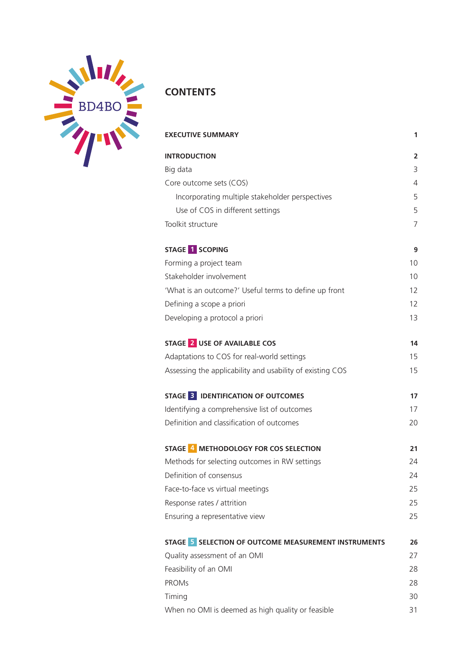

# **CONTENTS**

| <b>EXECUTIVE SUMMARY</b>                                  | 1              |
|-----------------------------------------------------------|----------------|
| <b>INTRODUCTION</b>                                       | $\overline{2}$ |
| Big data                                                  | 3              |
| Core outcome sets (COS)                                   | $\overline{4}$ |
| Incorporating multiple stakeholder perspectives           | 5              |
| Use of COS in different settings                          | 5              |
| Toolkit structure                                         | $\overline{7}$ |
| STAGE 1 SCOPING                                           | 9              |
| Forming a project team                                    | 10             |
| Stakeholder involvement                                   | 10             |
| 'What is an outcome?' Useful terms to define up front     | 12             |
| Defining a scope a priori                                 | 12             |
| Developing a protocol a priori                            | 13             |
| STAGE 2 USE OF AVAILABLE COS                              | 14             |
| Adaptations to COS for real-world settings                | 15             |
| Assessing the applicability and usability of existing COS | 15             |
| STAGE 3 IDENTIFICATION OF OUTCOMES                        | 17             |
| Identifying a comprehensive list of outcomes              | 17             |
| Definition and classification of outcomes                 | 20             |
| STAGE 4 METHODOLOGY FOR COS SELECTION                     | 21             |
| Methods for selecting outcomes in RW settings             | 24             |
| Definition of consensus                                   | 24             |
| Face-to-face vs virtual meetings                          | 25             |
| Response rates / attrition                                | 25             |
| Ensuring a representative view                            | 25             |
| STAGE 5 SELECTION OF OUTCOME MEASUREMENT INSTRUMENTS      | 26             |
| Quality assessment of an OMI                              | 27             |
| Feasibility of an OMI                                     | 28             |
| <b>PROMs</b>                                              | 28             |
| Timing                                                    | 30             |
| When no OMI is deemed as high quality or feasible         | 31             |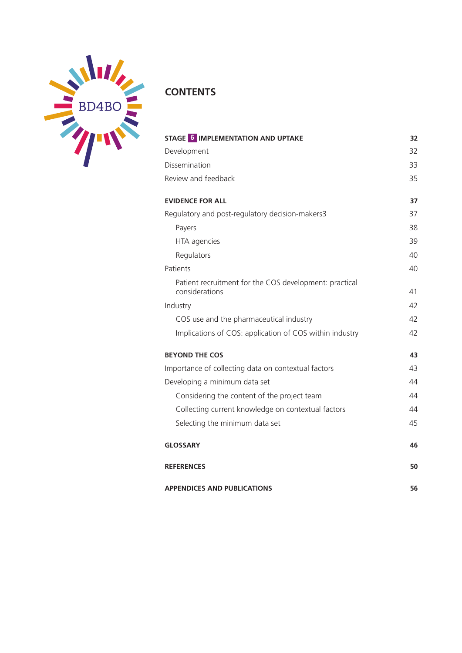

### **CONTENTS**

| STAGE 6 IMPLEMENTATION AND UPTAKE                                        | 32 |
|--------------------------------------------------------------------------|----|
| Development                                                              | 32 |
| Dissemination                                                            | 33 |
| Review and feedback                                                      | 35 |
| <b>EVIDENCE FOR ALL</b>                                                  | 37 |
| Regulatory and post-regulatory decision-makers3                          | 37 |
| Payers                                                                   | 38 |
| HTA agencies                                                             | 39 |
| Regulators                                                               | 40 |
| Patients                                                                 | 40 |
| Patient recruitment for the COS development: practical<br>considerations | 41 |
| Industry                                                                 | 42 |
| COS use and the pharmaceutical industry                                  | 42 |
| Implications of COS: application of COS within industry                  | 42 |
| <b>BEYOND THE COS</b>                                                    | 43 |
| Importance of collecting data on contextual factors                      | 43 |
| Developing a minimum data set                                            | 44 |
| Considering the content of the project team                              | 44 |
| Collecting current knowledge on contextual factors                       | 44 |
| Selecting the minimum data set                                           | 45 |
| <b>GLOSSARY</b>                                                          | 46 |
| <b>REFERENCES</b>                                                        | 50 |
| <b>APPENDICES AND PUBLICATIONS</b>                                       | 56 |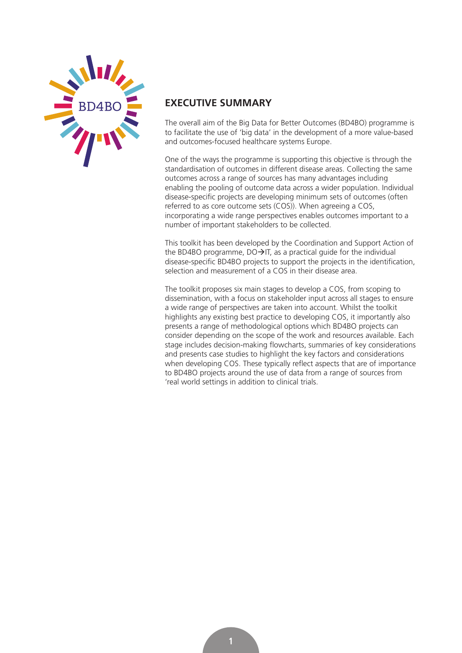<span id="page-4-0"></span>

### **EXECUTIVE SUMMARY**

The overall aim of the Big Data for Better Outcomes (BD4BO) programme is to facilitate the use of 'big data' in the development of a more value-based and outcomes-focused healthcare systems Europe.

One of the ways the programme is supporting this objective is through the standardisation of outcomes in different disease areas. Collecting the same outcomes across a range of sources has many advantages including enabling the pooling of outcome data across a wider population. Individual disease-specific projects are developing minimum sets of outcomes (often referred to as core outcome sets (COS)). When agreeing a COS, incorporating a wide range perspectives enables outcomes important to a number of important stakeholders to be collected.

This toolkit has been developed by the Coordination and Support Action of the BD4BO programme,  $DO\rightarrow IT$ , as a practical guide for the individual disease-specific BD4BO projects to support the projects in the identification, selection and measurement of a COS in their disease area.

The toolkit proposes six main stages to develop a COS, from scoping to dissemination, with a focus on stakeholder input across all stages to ensure a wide range of perspectives are taken into account. Whilst the toolkit highlights any existing best practice to developing COS, it importantly also presents a range of methodological options which BD4BO projects can consider depending on the scope of the work and resources available. Each stage includes decision-making flowcharts, summaries of key considerations and presents case studies to highlight the key factors and considerations when developing COS. These typically reflect aspects that are of importance to BD4BO projects around the use of data from a range of sources from 'real world settings in addition to clinical trials.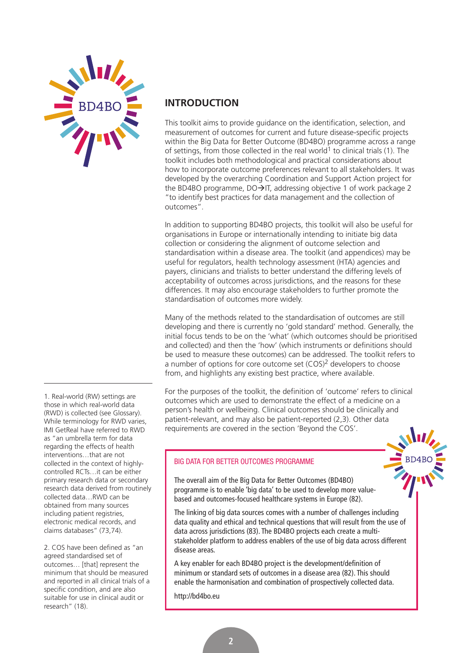<span id="page-5-0"></span>

1. Real-world (RW) settings are those in which real-world data (RWD) is collected (see Glossary). While terminology for RWD varies, IMI GetReal have referred to RWD as "an umbrella term for data regarding the effects of health interventions…that are not collected in the context of highlycontrolled RCTs…it can be either primary research data or secondary research data derived from routinely collected data…RWD can be obtained from many sources including patient registries, electronic medical records, and claims databases" (73,74).

2. COS have been defined as "an agreed standardised set of outcomes… [that] represent the minimum that should be measured and reported in all clinical trials of a specific condition, and are also suitable for use in clinical audit or research" (18).

### **INTRODUCTION**

This toolkit aims to provide guidance on the identification, selection, and measurement of outcomes for current and future disease-specific projects within the Big Data for Better Outcome (BD4BO) programme across a range of settings, from those collected in the real world<sup>1</sup> to clinical trials (1). The toolkit includes both methodological and practical considerations about how to incorporate outcome preferences relevant to all stakeholders. It was developed by the overarching Coordination and Support Action project for the BD4BO programme,  $DO\rightarrow IT$ , addressing objective 1 of work package 2 "to identify best practices for data management and the collection of outcomes".

In addition to supporting BD4BO projects, this toolkit will also be useful for organisations in Europe or internationally intending to initiate big data collection or considering the alignment of outcome selection and standardisation within a disease area. The toolkit (and appendices) may be useful for regulators, health technology assessment (HTA) agencies and payers, clinicians and trialists to better understand the differing levels of acceptability of outcomes across jurisdictions, and the reasons for these differences. It may also encourage stakeholders to further promote the standardisation of outcomes more widely.

Many of the methods related to the standardisation of outcomes are still developing and there is currently no 'gold standard' method. Generally, the initial focus tends to be on the 'what' (which outcomes should be prioritised and collected) and then the 'how' (which instruments or definitions should be used to measure these outcomes) can be addressed. The toolkit refers to a number of options for core outcome set (COS)<sup>2</sup> developers to choose from, and highlights any existing best practice, where available.

For the purposes of the toolkit, the definition of 'outcome' refers to clinical outcomes which are used to demonstrate the effect of a medicine on a person's health or wellbeing. Clinical outcomes should be clinically and patient-relevant, and may also be patient-reported (2,3). Other data requirements are covered in the section 'Beyond the COS'.

### BIG DATA FOR BETTER OUTCOMES PROGRAMME

The overall aim of the Big Data for Better Outcomes (BD4BO) programme is to enable 'big data' to be used to develop more valuebased and outcomes-focused healthcare systems in Europe (82).

The linking of big data sources comes with a number of challenges including data quality and ethical and technical questions that will result from the use of data across jurisdictions (83). The BD4BO projects each create a multistakeholder platform to address enablers of the use of big data across different disease areas.

A key enabler for each BD4BO project is the development/definition of minimum or standard sets of outcomes in a disease area (82). This should enable the harmonisation and combination of prospectively collected data.

<http://bd4bo.eu>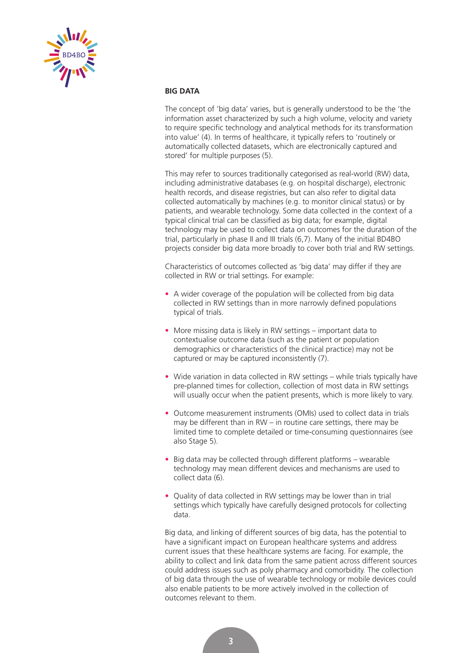<span id="page-6-0"></span>

### **BIG DATA**

The concept of 'big data' varies, but is generally understood to be the 'the information asset characterized by such a high volume, velocity and variety to require specific technology and analytical methods for its transformation into value' (4). In terms of healthcare, it typically refers to 'routinely or automatically collected datasets, which are electronically captured and stored' for multiple purposes (5).

This may refer to sources traditionally categorised as real-world (RW) data, including administrative databases (e.g. on hospital discharge), electronic health records, and disease registries, but can also refer to digital data collected automatically by machines (e.g. to monitor clinical status) or by patients, and wearable technology. Some data collected in the context of a typical clinical trial can be classified as big data; for example, digital technology may be used to collect data on outcomes for the duration of the trial, particularly in phase II and III trials (6,7). Many of the initial BD4BO projects consider big data more broadly to cover both trial and RW settings.

Characteristics of outcomes collected as 'big data' may differ if they are collected in RW or trial settings. For example:

- A wider coverage of the population will be collected from big data collected in RW settings than in more narrowly defined populations typical of trials.
- More missing data is likely in RW settings important data to contextualise outcome data (such as the patient or population demographics or characteristics of the clinical practice) may not be captured or may be captured inconsistently (7).
- Wide variation in data collected in RW settings while trials typically have pre-planned times for collection, collection of most data in RW settings will usually occur when the patient presents, which is more likely to vary.
- Outcome measurement instruments (OMIs) used to collect data in trials may be different than in RW – in routine care settings, there may be limited time to complete detailed or time-consuming questionnaires (see also Stage 5).
- Big data may be collected through different platforms wearable technology may mean different devices and mechanisms are used to collect data (6).
- Quality of data collected in RW settings may be lower than in trial settings which typically have carefully designed protocols for collecting data.

Big data, and linking of different sources of big data, has the potential to have a significant impact on European healthcare systems and address current issues that these healthcare systems are facing. For example, the ability to collect and link data from the same patient across different sources could address issues such as poly pharmacy and comorbidity. The collection of big data through the use of wearable technology or mobile devices could also enable patients to be more actively involved in the collection of outcomes relevant to them.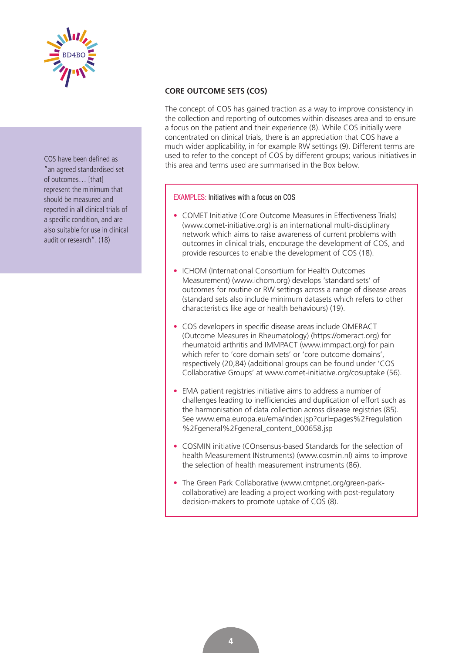<span id="page-7-0"></span>

COS have been defined as "an agreed standardised set of outcomes… [that] represent the minimum that should be measured and reported in all clinical trials of a specific condition, and are also suitable for use in clinical audit or research". (18)

### **CORE OUTCOME SETS (COS)**

The concept of COS has gained traction as a way to improve consistency in the collection and reporting of outcomes within diseases area and to ensure a focus on the patient and their experience (8). While COS initially were concentrated on clinical trials, there is an appreciation that COS have a much wider applicability, in for example RW settings (9). Different terms are used to refer to the concept of COS by different groups; various initiatives in this area and terms used are summarised in the Box below.

EXAMPLES: Initiatives with a focus on COS

- COMET Initiative (Core Outcome Measures in Effectiveness Trials) ([www.comet-initiative.org\) is](http://www.comet-initiative.org) an international multi-disciplinary network which aims to raise awareness of current problems with outcomes in clinical trials, encourage the development of COS, and provide resources to enable the development of COS (18).
- ICHOM (International Consortium for Health Outcomes Measurement) ([www.ichom.org\) de](http://www.ichom.org)velops 'standard sets' of outcomes for routine or RW settings across a range of disease areas (standard sets also include minimum datasets which refers to other characteristics like age or health behaviours) (19).
- COS developers in specific disease areas include OMERACT (Outcome Measures in Rheumatology) ([https://omeract.org\) fo](https://omeract.org)r rheumatoid arthritis and IMMPACT [\(www.immpact.org\) fo](http://www.immpact.org)r pain which refer to 'core domain sets' or 'core outcome domains', respectively (20,84) (additional groups can be found under 'COS Collaborative Groups' at [www.comet-initiative.org/cosuptake \(5](http://www.comet-initiative.org/cosuptake)6).
- EMA patient registries initiative aims to address a number of challenges leading to inefficiencies and duplication of effort such as the harmonisation of data collection across disease registries (85). [See www.ema.europa.eu/ema/index.jsp?curl=pages%2Fregulation](http://www.ema.europa.eu/ema/index.jsp?curl=pages%2Fregulation%2Fgeneral%2Fgeneral_content_000658.jsp) %2Fgeneral%2Fgeneral\_content\_000658.jsp
- COSMIN initiative (COnsensus-based Standards for the selection of health Measurement INstruments) [\(www.cosmin.nl\) ai](http://www.cosmin.nl)ms to improve the selection of health measurement instruments (86).
- The Green Park Collaborative ([www.cmtpnet.org/green-pa](http://www.cmtpnet.org/green-park-collaborative)rk[collaborative\) are leading a project working with post-regulatory](http://www.cmtpnet.org/green-park-collaborative) decision-makers to promote uptake of COS (8).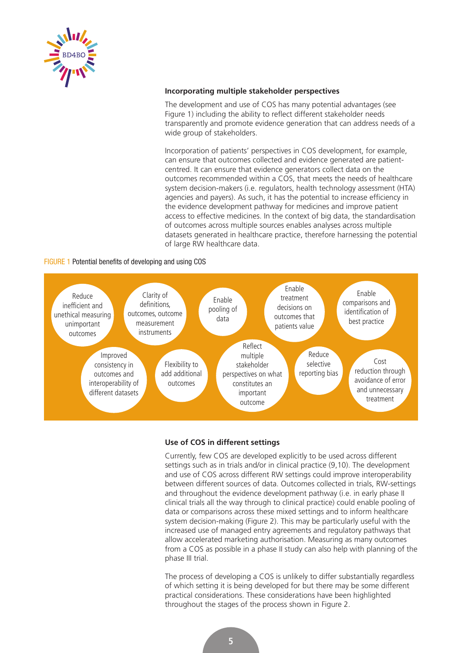<span id="page-8-0"></span>

### **Incorporating multiple stakeholder perspectives**

The development and use of COS has many potential advantages (see Figure 1) including the ability to reflect different stakeholder needs transparently and promote evidence generation that can address needs of a wide group of stakeholders.

Incorporation of patients' perspectives in COS development, for example, can ensure that outcomes collected and evidence generated are patientcentred. It can ensure that evidence generators collect data on the outcomes recommended within a COS, that meets the needs of healthcare system decision-makers (i.e. regulators, health technology assessment (HTA) agencies and payers). As such, it has the potential to increase efficiency in the evidence development pathway for medicines and improve patient access to effective medicines. In the context of big data, the standardisation of outcomes across multiple sources enables analyses across multiple datasets generated in healthcare practice, therefore harnessing the potential of large RW healthcare data.

### FIGURE 1 Potential benefits of developing and using COS



### **Use of COS in different settings**

Currently, few COS are developed explicitly to be used across different settings such as in trials and/or in clinical practice (9,10). The development and use of COS across different RW settings could improve interoperability between different sources of data. Outcomes collected in trials, RW-settings and throughout the evidence development pathway (i.e. in early phase II clinical trials all the way through to clinical practice) could enable pooling of data or comparisons across these mixed settings and to inform healthcare system decision-making (Figure 2). This may be particularly useful with the increased use of managed entry agreements and regulatory pathways that allow accelerated marketing authorisation. Measuring as many outcomes from a COS as possible in a phase II study can also help with planning of the phase III trial.

The process of developing a COS is unlikely to differ substantially regardless of which setting it is being developed for but there may be some different practical considerations. These considerations have been highlighted throughout the stages of the process shown in Figure 2.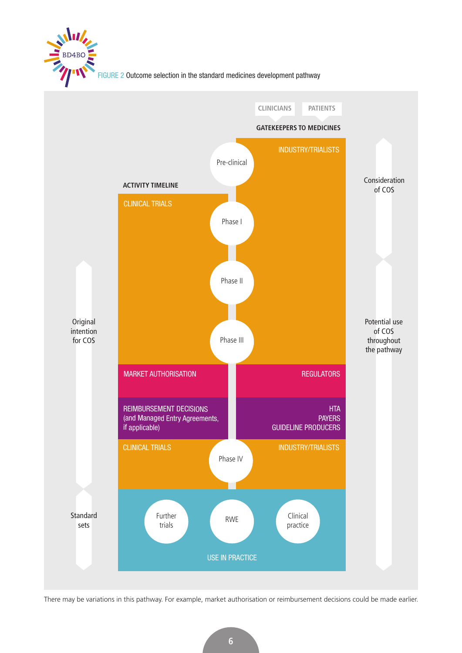

FIGURE 2 Outcome selection in the standard medicines development pathway



There may be variations in this pathway. For example, market authorisation or reimbursement decisions could be made earlier.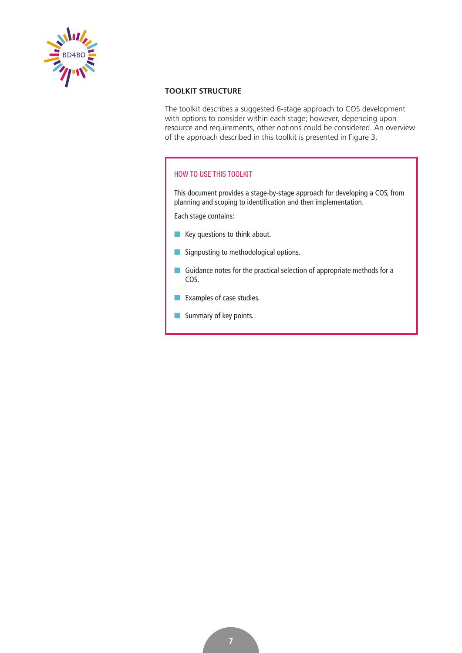<span id="page-10-0"></span>

### **TOOLKIT STRUCTURE**

The toolkit describes a suggested 6-stage approach to COS development with options to consider within each stage; however, depending upon resource and requirements, other options could be considered. An overview of the approach described in this toolkit is presented in Figure 3.

### HOW TO USE THIS TOOLKIT

This document provides a stage-by-stage approach for developing a COS, from planning and scoping to identification and then implementation.

Each stage contains:

- $\blacksquare$  Key questions to think about.
- **n** Signposting to methodological options.
- Guidance notes for the practical selection of appropriate methods for a COS.
- $\blacksquare$  Examples of case studies.
- $\blacksquare$  Summary of key points.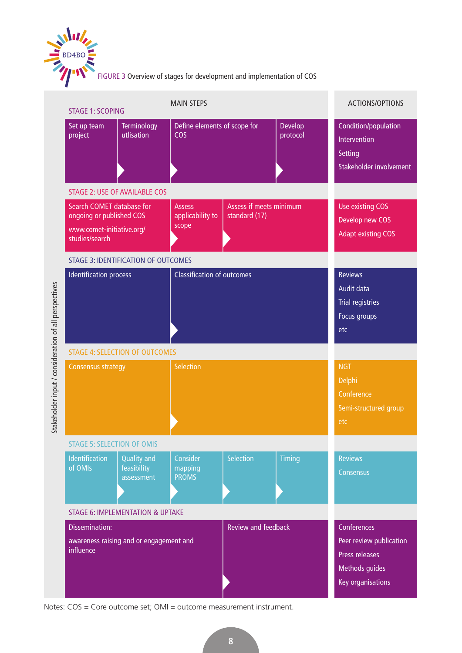

|                                                       | <b>STAGE 1: SCOPING</b>                                                                              |                                                 | <b>MAIN STEPS</b>                                                                                  |                                          |                                                                                                 | ACTIONS/OPTIONS                                                            |
|-------------------------------------------------------|------------------------------------------------------------------------------------------------------|-------------------------------------------------|----------------------------------------------------------------------------------------------------|------------------------------------------|-------------------------------------------------------------------------------------------------|----------------------------------------------------------------------------|
|                                                       | Set up team<br>project                                                                               | <b>Terminology</b><br>utlisation                | Define elements of scope for<br><b>COS</b>                                                         |                                          | Develop<br>protocol                                                                             | Condition/population<br>Intervention<br>Setting<br>Stakeholder involvement |
|                                                       |                                                                                                      | <b>STAGE 2: USE OF AVAILABLE COS</b>            |                                                                                                    |                                          |                                                                                                 |                                                                            |
|                                                       | Search COMET database for<br>ongoing or published COS<br>www.comet-initiative.org/<br>studies/search |                                                 | <b>Assess</b><br>applicability to<br>scope                                                         | Assess if meets minimum<br>standard (17) |                                                                                                 | <b>Use existing COS</b><br>Develop new COS<br><b>Adapt existing COS</b>    |
|                                                       |                                                                                                      | <b>STAGE 3: IDENTIFICATION OF OUTCOMES</b>      |                                                                                                    |                                          |                                                                                                 |                                                                            |
|                                                       | <b>Identification process</b>                                                                        |                                                 | <b>Classification of outcomes</b>                                                                  |                                          | <b>Reviews</b><br>Audit data<br><b>Trial registries</b><br>Focus groups<br>etc                  |                                                                            |
|                                                       | <b>STAGE 4: SELECTION OF OUTCOMES</b>                                                                |                                                 |                                                                                                    |                                          |                                                                                                 |                                                                            |
| Stakeholder input / consideration of all perspectives | <b>Consensus strategy</b>                                                                            |                                                 | <b>Selection</b>                                                                                   |                                          |                                                                                                 | <b>NGT</b><br>Delphi<br>Conference<br>Semi-structured group<br>etc         |
|                                                       | <b>STAGE 5: SELECTION OF OMIS</b>                                                                    |                                                 |                                                                                                    |                                          |                                                                                                 |                                                                            |
|                                                       | <b>Identification</b><br>of OMIs                                                                     | <b>Quality and</b><br>feasibility<br>assessment | Consider<br>mapping<br><b>PROMS</b>                                                                | <b>Selection</b>                         | <b>Timing</b>                                                                                   | <b>Reviews</b><br>Consensus                                                |
|                                                       |                                                                                                      | <b>STAGE 6: IMPLEMENTATION &amp; UPTAKE</b>     |                                                                                                    |                                          |                                                                                                 |                                                                            |
|                                                       | <b>Dissemination:</b><br>awareness raising and or engagement and<br>influence                        |                                                 | <b>Review and feedback</b><br>Notes: COS = Core outcome set; OMI = outcome measurement instrument. |                                          | Conferences<br>Peer review publication<br>Press releases<br>Methods guides<br>Key organisations |                                                                            |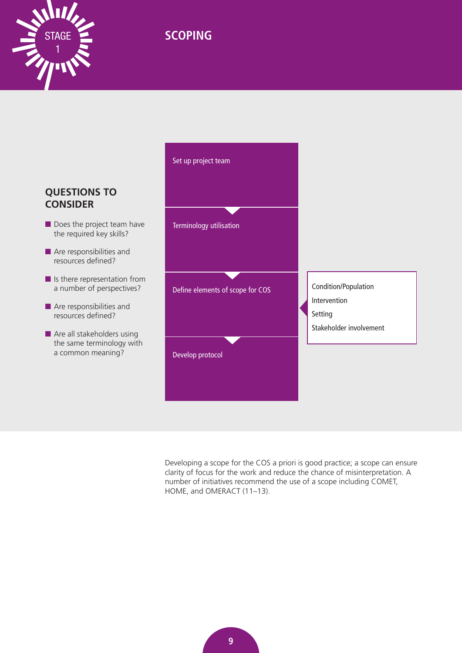<span id="page-12-0"></span>

# STAGE **SCOPING**



Developing a scope for the COS a priori is good practice; a scope can ensure clarity of focus for the work and reduce the chance of misinterpretation. A number of initiatives recommend the use of a scope including COMET, HOME, and OMERACT (11–13).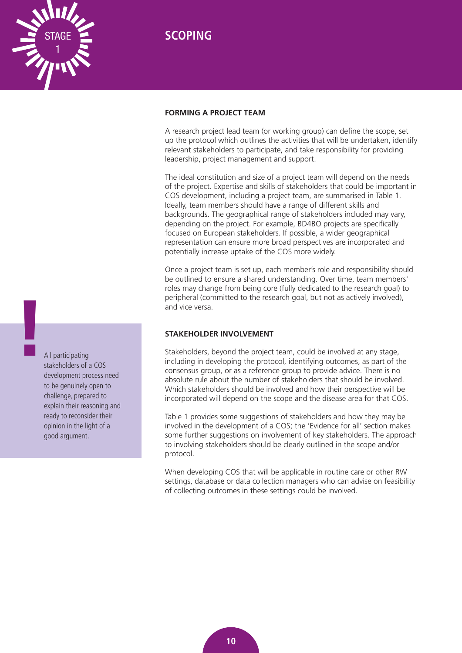

### **FORMING A PROJECT TEAM**

A research project lead team (or working group) can define the scope, set up the protocol which outlines the activities that will be undertaken, identify relevant stakeholders to participate, and take responsibility for providing leadership, project management and support.

The ideal constitution and size of a project team will depend on the needs of the project. Expertise and skills of stakeholders that could be important in COS development, including a project team, are summarised in Table 1. Ideally, team members should have a range of different skills and backgrounds. The geographical range of stakeholders included may vary, depending on the project. For example, BD4BO projects are specifically focused on European stakeholders. If possible, a wider geographical representation can ensure more broad perspectives are incorporated and potentially increase uptake of the COS more widely.

Once a project team is set up, each member's role and responsibility should be outlined to ensure a shared understanding. Over time, team members' roles may change from being core (fully dedicated to the research goal) to peripheral (committed to the research goal, but not as actively involved), and vice versa.

### **STAKEHOLDER INVOLVEMENT**

Stakeholders, beyond the project team, could be involved at any stage, including in developing the protocol, identifying outcomes, as part of the consensus group, or as a reference group to provide advice. There is no absolute rule about the number of stakeholders that should be involved. Which stakeholders should be involved and how their perspective will be incorporated will depend on the scope and the disease area for that COS.

Table 1 provides some suggestions of stakeholders and how they may be involved in the development of a COS; the 'Evidence for all' section makes some further suggestions on involvement of key stakeholders. The approach to involving stakeholders should be clearly outlined in the scope and/or protocol.

When developing COS that will be applicable in routine care or other RW settings, database or data collection managers who can advise on feasibility of collecting outcomes in these settings could be involved.

All participating stakeholders of a COS development process need to be genuinely open to challenge, prepared to explain their reasoning and ready to reconsider their opinion in the light of a good argument. **!**

<span id="page-13-0"></span>1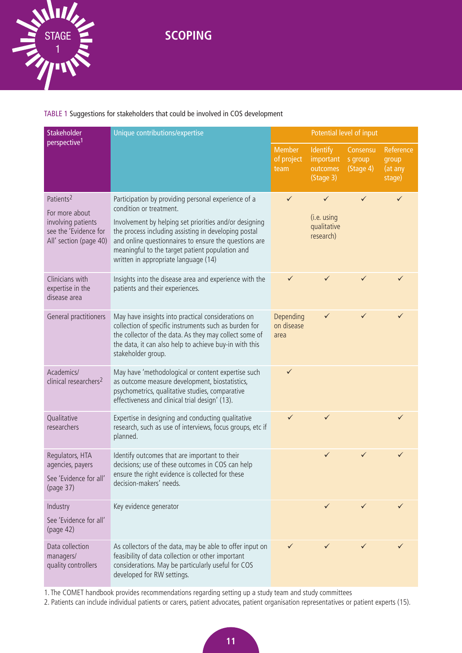**SCOPING** 



### TABLE 1 Suggestions for stakeholders that could be involved in COS development

| Stakeholder<br>Unique contributions/expertise                                                                    |                                                                                                                                                                                                                                                                                                                                                      |                                     | Potential level of input                              |                                  |                                         |  |
|------------------------------------------------------------------------------------------------------------------|------------------------------------------------------------------------------------------------------------------------------------------------------------------------------------------------------------------------------------------------------------------------------------------------------------------------------------------------------|-------------------------------------|-------------------------------------------------------|----------------------------------|-----------------------------------------|--|
| perspective <sup>1</sup>                                                                                         |                                                                                                                                                                                                                                                                                                                                                      | <b>Member</b><br>of project<br>team | <b>Identify</b><br>important<br>outcomes<br>(Stage 3) | Consensu<br>s group<br>(Stage 4) | Reference<br>group<br>(at any<br>stage) |  |
| Patients <sup>2</sup><br>For more about<br>involving patients<br>see the 'Evidence for<br>All' section (page 40) | Participation by providing personal experience of a<br>condition or treatment.<br>Involvement by helping set priorities and/or designing<br>the process including assisting in developing postal<br>and online questionnaires to ensure the questions are<br>meaningful to the target patient population and<br>written in appropriate language (14) | $\checkmark$                        | ✓<br>(i.e. using<br>qualitative<br>research)          | ✓                                | ✓                                       |  |
| Clinicians with<br>expertise in the<br>disease area                                                              | Insights into the disease area and experience with the<br>patients and their experiences.                                                                                                                                                                                                                                                            | ✓                                   |                                                       | ✓                                |                                         |  |
| General practitioners                                                                                            | May have insights into practical considerations on<br>collection of specific instruments such as burden for<br>the collector of the data. As they may collect some of<br>the data, it can also help to achieve buy-in with this<br>stakeholder group.                                                                                                | Depending<br>on disease<br>area     | ✓                                                     | ✓                                | ✓                                       |  |
| Academics/<br>clinical researchers <sup>2</sup>                                                                  | May have 'methodological or content expertise such<br>as outcome measure development, biostatistics,<br>psychometrics, qualitative studies, comparative<br>effectiveness and clinical trial design' (13).                                                                                                                                            | $\checkmark$                        |                                                       |                                  |                                         |  |
| Qualitative<br>researchers                                                                                       | Expertise in designing and conducting qualitative<br>research, such as use of interviews, focus groups, etc if<br>planned.                                                                                                                                                                                                                           | ✓                                   | ✓                                                     |                                  | ✓                                       |  |
| Regulators, HTA<br>agencies, payers<br>See 'Evidence for all'<br>(page 37)                                       | Identify outcomes that are important to their<br>decisions; use of these outcomes in COS can help<br>ensure the right evidence is collected for these<br>decision-makers' needs.                                                                                                                                                                     |                                     | ✓                                                     |                                  | ✓                                       |  |
| Industry<br>See 'Evidence for all'<br>(page 42)                                                                  | Key evidence generator                                                                                                                                                                                                                                                                                                                               |                                     | $\checkmark$                                          |                                  | ✓                                       |  |
| Data collection<br>managers/<br>quality controllers                                                              | As collectors of the data, may be able to offer input on<br>feasibility of data collection or other important<br>considerations. May be particularly useful for COS<br>developed for RW settings.                                                                                                                                                    | ✓                                   |                                                       |                                  |                                         |  |

1. The COMET handbook provides recommendations regarding setting up a study team and study committees

2. Patients can include individual patients or carers, patient advocates, patient organisation representatives or patient experts (15).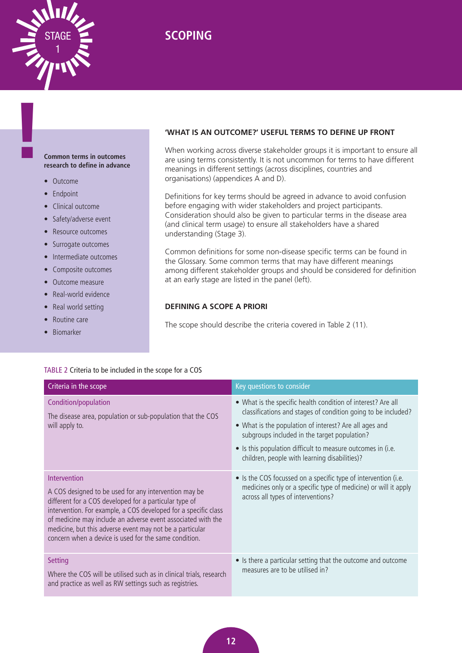<span id="page-15-0"></span>

# STAGE **SCOPING**

### **Common terms in outcomes research to define in advance**

• Outcome

**!**

- Endpoint
- Clinical outcome
- Safety/adverse event
- Resource outcomes
- Surrogate outcomes
- Intermediate outcomes
- Composite outcomes
- Outcome measure
- Real-world evidence
- Real world setting
- Routine care
- Biomarker

### **'WHAT IS AN OUTCOME?' USEFUL TERMS TO DEFINE UP FRONT**

When working across diverse stakeholder groups it is important to ensure all are using terms consistently. It is not uncommon for terms to have different meanings in different settings (across disciplines, countries and organisations) (appendices A and D).

Definitions for key terms should be agreed in advance to avoid confusion before engaging with wider stakeholders and project participants. Consideration should also be given to particular terms in the disease area (and clinical term usage) to ensure all stakeholders have a shared understanding (Stage 3).

Common definitions for some non-disease specific terms can be found in the Glossary. Some common terms that may have different meanings among different stakeholder groups and should be considered for definition at an early stage are listed in the panel (left).

### **DEFINING A SCOPE A PRIORI**

The scope should describe the criteria covered in Table 2 (11).

| Criteria in the scope                                                                                                                                                                                                                                                                                                                                                                   | Key questions to consider                                                                                                                                                                                                                                                                                                                               |
|-----------------------------------------------------------------------------------------------------------------------------------------------------------------------------------------------------------------------------------------------------------------------------------------------------------------------------------------------------------------------------------------|---------------------------------------------------------------------------------------------------------------------------------------------------------------------------------------------------------------------------------------------------------------------------------------------------------------------------------------------------------|
| Condition/population<br>The disease area, population or sub-population that the COS<br>will apply to.                                                                                                                                                                                                                                                                                   | • What is the specific health condition of interest? Are all<br>classifications and stages of condition going to be included?<br>• What is the population of interest? Are all ages and<br>subgroups included in the target population?<br>• Is this population difficult to measure outcomes in (i.e.<br>children, people with learning disabilities)? |
| Intervention<br>A COS designed to be used for any intervention may be<br>different for a COS developed for a particular type of<br>intervention. For example, a COS developed for a specific class<br>of medicine may include an adverse event associated with the<br>medicine, but this adverse event may not be a particular<br>concern when a device is used for the same condition. | • Is the COS focussed on a specific type of intervention (i.e.<br>medicines only or a specific type of medicine) or will it apply<br>across all types of interventions?                                                                                                                                                                                 |
| <b>Setting</b><br>Where the COS will be utilised such as in clinical trials, research<br>and practice as well as RW settings such as registries.                                                                                                                                                                                                                                        | • Is there a particular setting that the outcome and outcome<br>measures are to be utilised in?                                                                                                                                                                                                                                                         |

### TABLE 2 Criteria to be included in the scope for a COS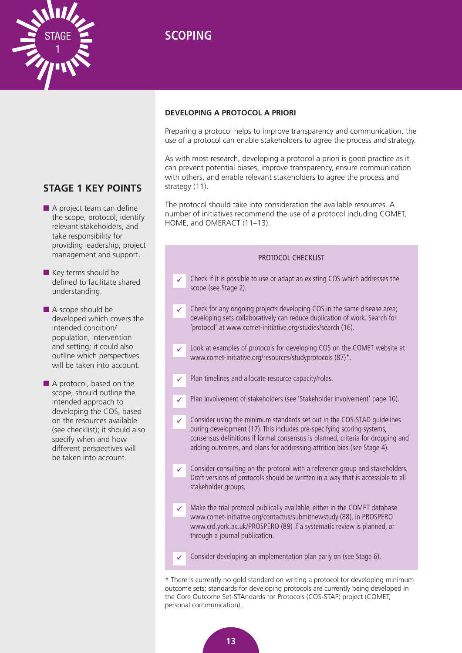

# **STAGE 1 KEY POINTS**

<span id="page-16-0"></span>1

- $\blacksquare$  A project team can define the scope, protocol, identify relevant stakeholders, and take responsibility for providing leadership, project management and support.
- $\blacksquare$  Key terms should be defined to facilitate shared understanding.
- $\blacksquare$  A scope should be developed which covers the intended condition/ population, intervention and setting; it could also outline which perspectives will be taken into account.
- $\blacksquare$  A protocol, based on the scope, should outline the intended approach to developing the COS, based on the resources available (see checklist); it should also specify when and how different perspectives will be taken into account.

### **DEVELOPING A PROTOCOL A PRIORI**

Preparing a protocol helps to improve transparency and communication, the use of a protocol can enable stakeholders to agree the process and strategy.

As with most research, developing a protocol a priori is good practice as it can prevent potential biases, improve transparency, ensure communication with others, and enable relevant stakeholders to agree the process and strategy (11).

The protocol should take into consideration the available resources. A number of initiatives recommend the use of a protocol including COMET, HOME, and OMERACT (11–13).

### PROTOCOL CHECKLIST Check if it is possible to use or adapt an existing COS which addresses the scope (see Stage 2). Check for any ongoing projects developing COS in the same disease area; developing sets collaboratively can reduce duplication of work. Search for 'protocol' at [www.comet-initiative.org/studies/search \(1](http://www.comet-initiative.org/studies/search)6). Look at examples of protocols for developing COS on the COMET website at [www.comet-initiative.org/resources/studyprotocols \(87](http://www.comet-initiative.org/resources/studyprotocols))\*. Plan timelines and allocate resource capacity/roles. Plan involvement of stakeholders (see 'Stakeholder involvement' page 10). Consider using the minimum standards set out in the COS-STAD guidelines during development (17). This includes pre-specifying scoring systems, consensus definitions if formal consensus is planned, criteria for dropping and adding outcomes, and plans for addressing attrition bias (see Stage 4). Consider consulting on the protocol with a reference group and stakeholders. Draft versions of protocols should be written in a way that is accessible to all stakeholder groups. Make the trial protocol publically available, either in the COMET database [www.comet-initiative.org/contactus/submitnewstudy \(88](http://www.comet-initiative.org/contactus/submitnewstudy)), in PROSPERO [www.crd.york.ac.uk/PROSPERO \(89](http://www.crd.york.ac.uk/PROSPERO)) if a systematic review is planned, or through a journal publication. Consider developing an implementation plan early on (see Stage 6).  $\checkmark$  $\checkmark$  $\checkmark$  $\checkmark$  $\checkmark$  $\checkmark$  $\checkmark$  $\checkmark$  $\checkmark$

\* There is currently no gold standard on writing a protocol for developing minimum outcome sets; standards for developing protocols are currently being developed in the Core Outcome Set-STAndards for Protocols (COS-STAP) project (COMET, personal communication).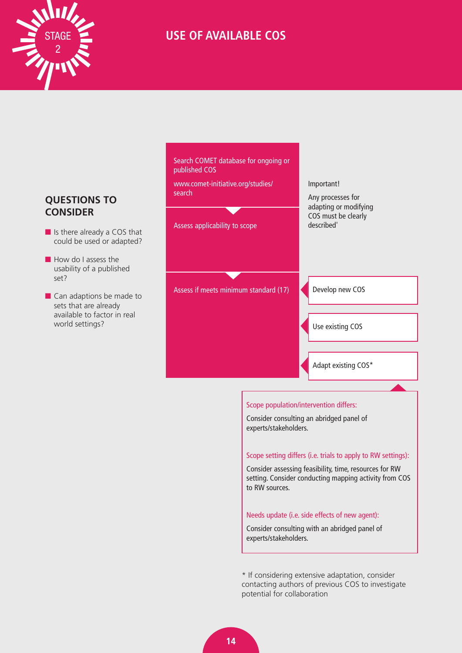<span id="page-17-0"></span>

# **USE OF AVAILABLE COS**

### **QUESTIONS TO CONSIDER**

- $\blacksquare$  Is there already a COS that could be used or adapted?
- $\blacksquare$  How do I assess the usability of a published set?
- $\blacksquare$  Can adaptions be made to sets that are already available to factor in real world settings?

Search COMET database for ongoing or published COS

[www.comet-initiative.org/studies/](http://www.comet-initiative.org/studies/search) search

Assess applicability to scope

Important!

Any processes for adapting or modifying COS must be clearly described'

Assess if meets minimum standard (17) **Conservative COS** 

Use existing COS

Adapt existing COS\*

### Scope population/intervention differs:

Consider consulting an abridged panel of experts/stakeholders.

### Scope setting differs (i.e. trials to apply to RW settings):

Consider assessing feasibility, time, resources for RW setting. Consider conducting mapping activity from COS to RW sources.

### Needs update (i.e. side effects of new agent):

Consider consulting with an abridged panel of experts/stakeholders.

\* If considering extensive adaptation, consider contacting authors of previous COS to investigate potential for collaboration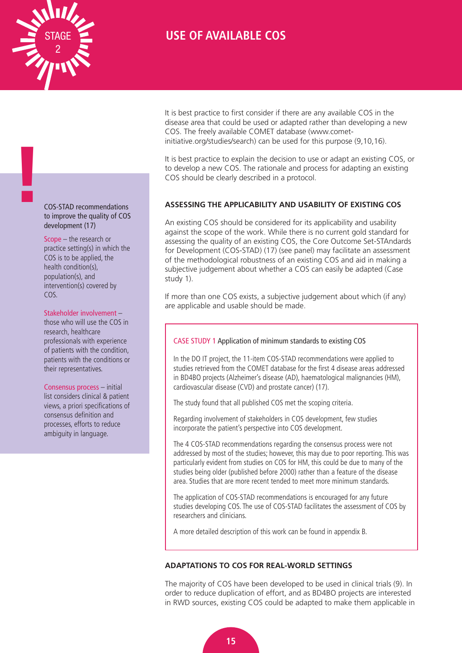<span id="page-18-0"></span>

**!**

# **USE OF AVAILABLE COS**

It is best practice to first consider if there are any available COS in the disease area that could be used or adapted rather than developing a new COS. The freely available COMET database [\(www.com](http://www.comet-initiative.org/studies/search)et[initiative.org/studies/search\) can be used for this purpose \(9,](http://www.comet-initiative.org/studies/search)10,16).

It is best practice to explain the decision to use or adapt an existing COS, or to develop a new COS. The rationale and process for adapting an existing COS should be clearly described in a protocol.

### **ASSESSING THE APPLICABILITY AND USABILITY OF EXISTING COS**

An existing COS should be considered for its applicability and usability against the scope of the work. While there is no current gold standard for assessing the quality of an existing COS, the Core Outcome Set-STAndards for Development (COS-STAD) (17) (see panel) may facilitate an assessment of the methodological robustness of an existing COS and aid in making a subjective judgement about whether a COS can easily be adapted (Case study 1).

If more than one COS exists, a subjective judgement about which (if any) are applicable and usable should be made.

### CASE STUDY 1 Application of minimum standards to existing COS

In the DO IT project, the 11-item COS-STAD recommendations were applied to studies retrieved from the COMET database for the first 4 disease areas addressed in BD4BO projects (Alzheimer's disease (AD), haematological malignancies (HM), cardiovascular disease (CVD) and prostate cancer) (17).

The study found that all published COS met the scoping criteria.

Regarding involvement of stakeholders in COS development, few studies incorporate the patient's perspective into COS development.

The 4 COS-STAD recommendations regarding the consensus process were not addressed by most of the studies; however, this may due to poor reporting. This was particularly evident from studies on COS for HM, this could be due to many of the studies being older (published before 2000) rather than a feature of the disease area. Studies that are more recent tended to meet more minimum standards.

The application of COS-STAD recommendations is encouraged for any future studies developing COS. The use of COS-STAD facilitates the assessment of COS by researchers and clinicians.

A more detailed description of this work can be found in appendix B.

### **ADAPTATIONS TO COS FOR REAL-WORLD SETTINGS**

The majority of COS have been developed to be used in clinical trials (9). In order to reduce duplication of effort, and as BD4BO projects are interested in RWD sources, existing COS could be adapted to make them applicable in

COS-STAD recommendations to improve the quality of COS development (17)

Scope – the research or practice setting(s) in which the COS is to be applied, the health condition(s), population(s), and intervention(s) covered by COS.

### Stakeholder involvement –

those who will use the COS in research, healthcare professionals with experience of patients with the condition, patients with the conditions or their representatives.

#### Consensus process – initial

list considers clinical & patient views, a priori specifications of consensus definition and processes, efforts to reduce ambiguity in language.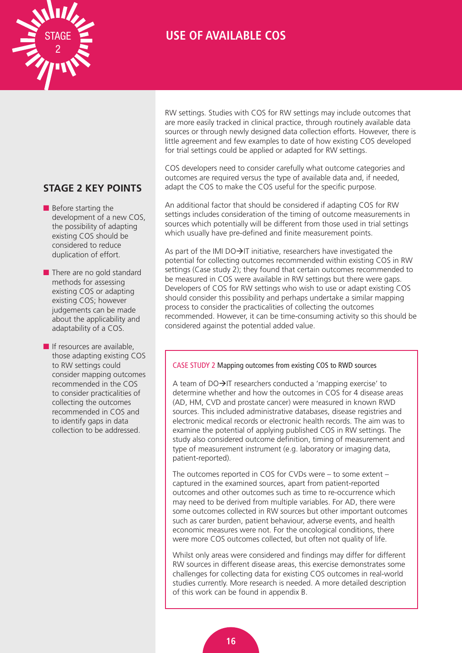

# **USE OF AVAILABLE COS**

### **STAGE 2 KEY POINTS**

- $\blacksquare$  Before starting the development of a new COS, the possibility of adapting existing COS should be considered to reduce duplication of effort.
- $\blacksquare$  There are no gold standard methods for assessing existing COS or adapting existing COS; however judgements can be made about the applicability and adaptability of a COS.
- $\blacksquare$  If resources are available, those adapting existing COS to RW settings could consider mapping outcomes recommended in the COS to consider practicalities of collecting the outcomes recommended in COS and to identify gaps in data collection to be addressed.

RW settings. Studies with COS for RW settings may include outcomes that are more easily tracked in clinical practice, through routinely available data sources or through newly designed data collection efforts. However, there is little agreement and few examples to date of how existing COS developed for trial settings could be applied or adapted for RW settings.

COS developers need to consider carefully what outcome categories and outcomes are required versus the type of available data and, if needed, adapt the COS to make the COS useful for the specific purpose.

An additional factor that should be considered if adapting COS for RW settings includes consideration of the timing of outcome measurements in sources which potentially will be different from those used in trial settings which usually have pre-defined and finite measurement points.

As part of the IMI DO $\rightarrow$ IT initiative, researchers have investigated the potential for collecting outcomes recommended within existing COS in RW settings (Case study 2); they found that certain outcomes recommended to be measured in COS were available in RW settings but there were gaps. Developers of COS for RW settings who wish to use or adapt existing COS should consider this possibility and perhaps undertake a similar mapping process to consider the practicalities of collecting the outcomes recommended. However, it can be time-consuming activity so this should be considered against the potential added value.

### CASE STUDY 2 Mapping outcomes from existing COS to RWD sources

A team of  $DO\rightarrow IT$  researchers conducted a 'mapping exercise' to determine whether and how the outcomes in COS for 4 disease areas (AD, HM, CVD and prostate cancer) were measured in known RWD sources. This included administrative databases, disease registries and electronic medical records or electronic health records. The aim was to examine the potential of applying published COS in RW settings. The study also considered outcome definition, timing of measurement and type of measurement instrument (e.g. laboratory or imaging data, patient-reported).

The outcomes reported in COS for CVDs were – to some extent – captured in the examined sources, apart from patient-reported outcomes and other outcomes such as time to re-occurrence which may need to be derived from multiple variables. For AD, there were some outcomes collected in RW sources but other important outcomes such as carer burden, patient behaviour, adverse events, and health economic measures were not. For the oncological conditions, there were more COS outcomes collected, but often not quality of life.

Whilst only areas were considered and findings may differ for different RW sources in different disease areas, this exercise demonstrates some challenges for collecting data for existing COS outcomes in real-world studies currently. More research is needed. A more detailed description of this work can be found in appendix B.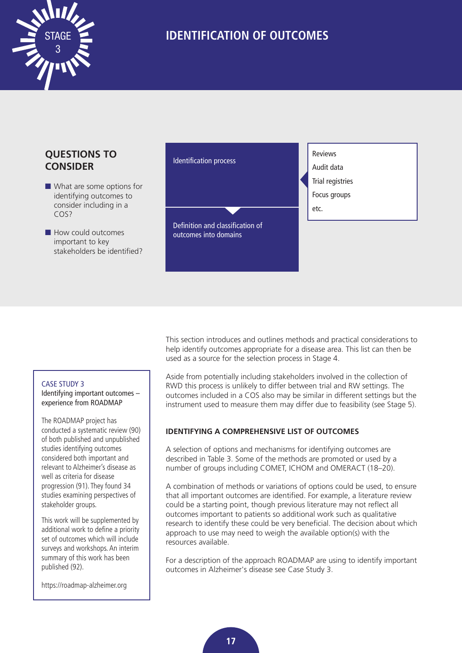<span id="page-20-0"></span>

### **QUESTIONS TO CONSIDER**

- $\blacksquare$  What are some options for identifying outcomes to consider including in a COS?
- $\blacksquare$  How could outcomes important to key stakeholders be identified?



### CASE STUDY 3

Identifying important outcomes – experience from ROADMAP

The ROADMAP project has conducted a systematic review (90) of both published and unpublished studies identifying outcomes considered both important and relevant to Alzheimer's disease as well as criteria for disease progression (91). They found 34 studies examining perspectives of stakeholder groups.

This work will be supplemented by additional work to define a priority set of outcomes which will include surveys and workshops. An interim summary of this work has been published (92).

<https://roadmap-alzheimer.org>

This section introduces and outlines methods and practical considerations to help identify outcomes appropriate for a disease area. This list can then be used as a source for the selection process in Stage 4.

Aside from potentially including stakeholders involved in the collection of RWD this process is unlikely to differ between trial and RW settings. The outcomes included in a COS also may be similar in different settings but the instrument used to measure them may differ due to feasibility (see Stage 5).

### **IDENTIFYING A COMPREHENSIVE LIST OF OUTCOMES**

A selection of options and mechanisms for identifying outcomes are described in Table 3. Some of the methods are promoted or used by a number of groups including COMET, ICHOM and OMERACT (18–20).

A combination of methods or variations of options could be used, to ensure that all important outcomes are identified. For example, a literature review could be a starting point, though previous literature may not reflect all outcomes important to patients so additional work such as qualitative research to identify these could be very beneficial. The decision about which approach to use may need to weigh the available option(s) with the resources available.

For a description of the approach ROADMAP are using to identify important outcomes in Alzheimer's disease see Case Study 3.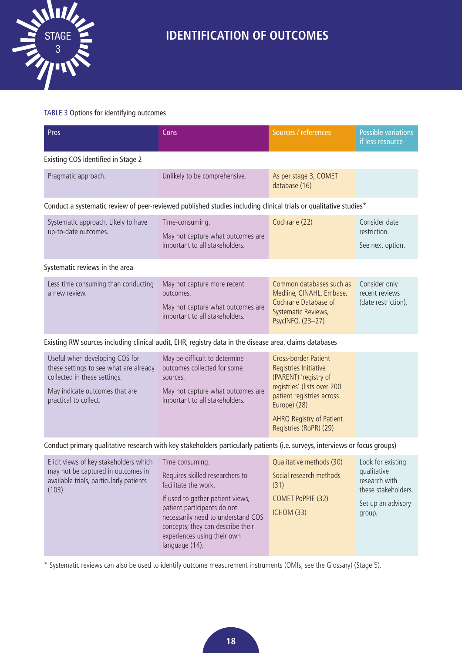

### TABLE 3 Options for identifying outcomes

| Pros                                                                                                                                                                | Cons                                                                                                                                            | Sources / references                                                                                                                      | <b>Possible variations</b><br>if less resource         |  |  |
|---------------------------------------------------------------------------------------------------------------------------------------------------------------------|-------------------------------------------------------------------------------------------------------------------------------------------------|-------------------------------------------------------------------------------------------------------------------------------------------|--------------------------------------------------------|--|--|
| Existing COS identified in Stage 2                                                                                                                                  |                                                                                                                                                 |                                                                                                                                           |                                                        |  |  |
| Pragmatic approach.                                                                                                                                                 | Unlikely to be comprehensive.                                                                                                                   | As per stage 3, COMET<br>database (16)                                                                                                    |                                                        |  |  |
| Conduct a systematic review of peer-reviewed published studies including clinical trials or qualitative studies*                                                    |                                                                                                                                                 |                                                                                                                                           |                                                        |  |  |
| Systematic approach. Likely to have<br>up-to-date outcomes.                                                                                                         | Time-consuming.<br>May not capture what outcomes are<br>important to all stakeholders.                                                          | Cochrane (22)                                                                                                                             | Consider date<br>restriction.<br>See next option.      |  |  |
| Systematic reviews in the area                                                                                                                                      |                                                                                                                                                 |                                                                                                                                           |                                                        |  |  |
| Less time consuming than conducting<br>a new review.                                                                                                                | May not capture more recent<br>outcomes.<br>May not capture what outcomes are<br>important to all stakeholders.                                 | Common databases such as<br>Medline, CINAHL, Embase,<br>Cochrane Database of<br>Systematic Reviews,<br>PsycINFO. (23-27)                  | Consider only<br>recent reviews<br>(date restriction). |  |  |
|                                                                                                                                                                     | Existing RW sources including clinical audit, EHR, registry data in the disease area, claims databases                                          |                                                                                                                                           |                                                        |  |  |
| Useful when developing COS for<br>these settings to see what are already<br>collected in these settings.<br>May indicate outcomes that are<br>practical to collect. | May be difficult to determine<br>outcomes collected for some<br>sources.<br>May not capture what outcomes are<br>important to all stakeholders. | <b>Cross-border Patient</b><br>Registries Initiative<br>(PARENT) 'registry of<br>registries' (lists over 200<br>patient registries across |                                                        |  |  |

Conduct primary qualitative research with key stakeholders particularly patients (i.e. surveys, interviews or focus groups)

AHRQ Registry of Patient Registries (RoPR) (29)

| Elicit views of key stakeholders which<br>may not be captured in outcomes in<br>available trials, particularly patients<br>(103). | Time consuming.<br>Requires skilled researchers to<br>facilitate the work.<br>If used to gather patient views,<br>patient participants do not<br>necessarily need to understand COS<br>concepts; they can describe their<br>experiences using their own<br>language (14). | Qualitative methods (30)<br>Social research methods<br>(31)<br>COMET PoPPIE (32)<br><b>ICHOM (33)</b> | Look for existing<br>qualitative<br>research with<br>these stakeholders.<br>Set up an advisory<br>group. |
|-----------------------------------------------------------------------------------------------------------------------------------|---------------------------------------------------------------------------------------------------------------------------------------------------------------------------------------------------------------------------------------------------------------------------|-------------------------------------------------------------------------------------------------------|----------------------------------------------------------------------------------------------------------|
|-----------------------------------------------------------------------------------------------------------------------------------|---------------------------------------------------------------------------------------------------------------------------------------------------------------------------------------------------------------------------------------------------------------------------|-------------------------------------------------------------------------------------------------------|----------------------------------------------------------------------------------------------------------|

\* Systematic reviews can also be used to identify outcome measurement instruments (OMIs; see the Glossary) (Stage 5).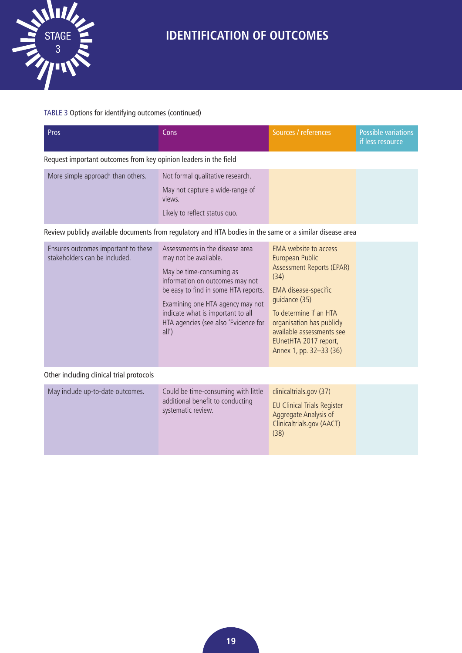

### TABLE 3 Options for identifying outcomes (continued)

| <b>Pros</b>                                                      | Cons                                                                                                           | Sources / references | Possible variations<br>if less resource |
|------------------------------------------------------------------|----------------------------------------------------------------------------------------------------------------|----------------------|-----------------------------------------|
| Request important outcomes from key opinion leaders in the field |                                                                                                                |                      |                                         |
| More simple approach than others.                                | Not formal qualitative research.<br>May not capture a wide-range of<br>views.<br>Likely to reflect status quo. |                      |                                         |

Review publicly available documents from regulatory and HTA bodies in the same or a similar disease area

| Ensures outcomes important to these<br>stakeholders can be included. | Assessments in the disease area<br>may not be available.<br>May be time-consuming as<br>information on outcomes may not<br>be easy to find in some HTA reports.<br>Examining one HTA agency may not<br>indicate what is important to all<br>HTA agencies (see also 'Evidence for<br>all') | EMA website to access<br>European Public<br>Assessment Reports (EPAR)<br>(34)<br>EMA disease-specific<br>quidance (35)<br>To determine if an HTA<br>organisation has publicly<br>available assessments see<br>EUnetHTA 2017 report,<br>Annex 1, pp. 32-33 (36) |  |
|----------------------------------------------------------------------|-------------------------------------------------------------------------------------------------------------------------------------------------------------------------------------------------------------------------------------------------------------------------------------------|----------------------------------------------------------------------------------------------------------------------------------------------------------------------------------------------------------------------------------------------------------------|--|
| Other including clinical trial protocols                             |                                                                                                                                                                                                                                                                                           |                                                                                                                                                                                                                                                                |  |
| May include up-to-date outcomes.                                     | Could be time-consuming with little<br>additional benefit to conducting<br>systematic review.                                                                                                                                                                                             | clinicaltrials.gov (37)<br><b>EU Clinical Trials Register</b><br>Aggregate Analysis of                                                                                                                                                                         |  |

Clinicaltrials.gov (AACT)

(38)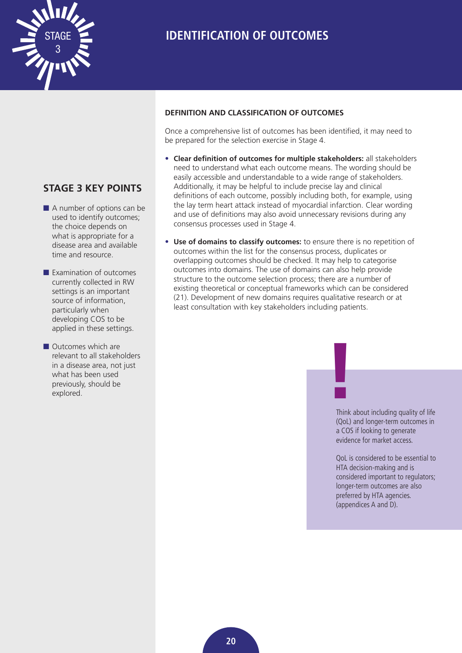<span id="page-23-0"></span>

### **STAGE 3 KEY POINTS**

- $\blacksquare$  A number of options can be used to identify outcomes; the choice depends on what is appropriate for a disease area and available time and resource.
- $\blacksquare$  Examination of outcomes currently collected in RW settings is an important source of information, particularly when developing COS to be applied in these settings.
- **n** Outcomes which are relevant to all stakeholders in a disease area, not just what has been used previously, should be Outcomes which are<br>relevant to all stakeholders<br>in a disease area, not just<br>what has been used<br>previously, should be<br>explored.

### **DEFINITION AND CLASSIFICATION OF OUTCOMES**

Once a comprehensive list of outcomes has been identified, it may need to be prepared for the selection exercise in Stage 4.

- **Clear definition of outcomes for multiple stakeholders:** all stakeholders need to understand what each outcome means. The wording should be easily accessible and understandable to a wide range of stakeholders. Additionally, it may be helpful to include precise lay and clinical definitions of each outcome, possibly including both, for example, using the lay term heart attack instead of myocardial infarction. Clear wording and use of definitions may also avoid unnecessary revisions during any consensus processes used in Stage 4.
- **Use of domains to classify outcomes:** to ensure there is no repetition of outcomes within the list for the consensus process, duplicates or overlapping outcomes should be checked. It may help to categorise outcomes into domains. The use of domains can also help provide structure to the outcome selection process; there are a number of existing theoretical or conceptual frameworks which can be considered (21). Development of new domains requires qualitative research or at least consultation with key stakeholders including patients.

Think about including quality of life (QoL) and longer-term outcomes in a COS if looking to generate evidence for market access.

QoL is considered to be essential to HTA decision-making and is considered important to regulators; longer-term outcomes are also preferred by HTA agencies. (appendices A and D).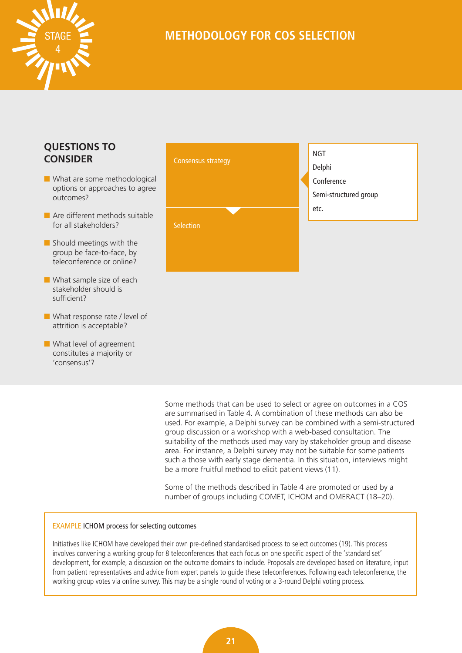<span id="page-24-0"></span>

# **METHODOLOGY FOR COS SELECTION**

### **QUESTIONS TO CONSIDER**

- $\blacksquare$  What are some methodological options or approaches to agree outcomes?
- $\blacksquare$  Are different methods suitable for all stakeholders?
- $\blacksquare$  Should meetings with the group be face-to-face, by teleconference or online?
- $\blacksquare$  What sample size of each stakeholder should is sufficient?
- **n** What response rate / level of attrition is acceptable?
- $\blacksquare$  What level of agreement constitutes a majority or 'consensus'?



Some methods that can be used to select or agree on outcomes in a COS are summarised in Table 4. A combination of these methods can also be used. For example, a Delphi survey can be combined with a semi-structured group discussion or a workshop with a web-based consultation. The suitability of the methods used may vary by stakeholder group and disease area. For instance, a Delphi survey may not be suitable for some patients such a those with early stage dementia. In this situation, interviews might be a more fruitful method to elicit patient views (11).

Some of the methods described in Table 4 are promoted or used by a number of groups including COMET, ICHOM and OMERACT (18–20).

### EXAMPLE ICHOM process for selecting outcomes

Initiatives like ICHOM have developed their own pre-defined standardised process to select outcomes (19). This process involves convening a working group for 8 teleconferences that each focus on one specific aspect of the 'standard set' development, for example, a discussion on the outcome domains to include. Proposals are developed based on literature, input from patient representatives and advice from expert panels to guide these teleconferences. Following each teleconference, the working group votes via online survey. This may be a single round of voting or a 3-round Delphi voting process.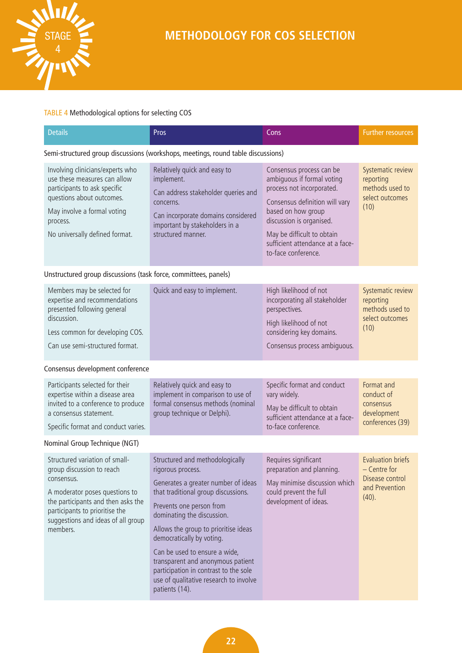

### TABLE 4 Methodological options for selecting COS

| <b>Details</b>                                                                                                                                                                                             | Pros                                                                                                                                                                                         | Cons                                                                                                                                                                                                                                                             | <b>Further resources</b>                                                     |
|------------------------------------------------------------------------------------------------------------------------------------------------------------------------------------------------------------|----------------------------------------------------------------------------------------------------------------------------------------------------------------------------------------------|------------------------------------------------------------------------------------------------------------------------------------------------------------------------------------------------------------------------------------------------------------------|------------------------------------------------------------------------------|
|                                                                                                                                                                                                            | Semi-structured group discussions (workshops, meetings, round table discussions)                                                                                                             |                                                                                                                                                                                                                                                                  |                                                                              |
| Involving clinicians/experts who<br>use these measures can allow<br>participants to ask specific<br>questions about outcomes.<br>May involve a formal voting<br>process.<br>No universally defined format. | Relatively quick and easy to<br>implement.<br>Can address stakeholder queries and<br>concerns.<br>Can incorporate domains considered<br>important by stakeholders in a<br>structured manner. | Consensus process can be<br>ambiquous if formal voting<br>process not incorporated.<br>Consensus definition will vary<br>based on how group<br>discussion is organised.<br>May be difficult to obtain<br>sufficient attendance at a face-<br>to-face conference. | Systematic review<br>reporting<br>methods used to<br>select outcomes<br>(10) |

### Unstructured group discussions (task force, committees, panels)

| Members may be selected for<br>expertise and recommendations<br>presented following general<br>discussion.<br>Less common for developing COS.<br>Can use semi-structured format. | Quick and easy to implement. | High likelihood of not<br>incorporating all stakeholder<br>perspectives.<br>High likelihood of not<br>considering key domains.<br>Consensus process ambiguous. | Systematic review<br>reporting<br>methods used to<br>select outcomes<br>(10) |
|----------------------------------------------------------------------------------------------------------------------------------------------------------------------------------|------------------------------|----------------------------------------------------------------------------------------------------------------------------------------------------------------|------------------------------------------------------------------------------|
| Consensus development conference                                                                                                                                                 |                              |                                                                                                                                                                |                                                                              |
| Participants selected for their                                                                                                                                                  | Relatively quick and easy to | Specific format and conduct                                                                                                                                    | Format and                                                                   |

expertise within a disease area invited to a conference to produce a consensus statement. Specific format and conduct varies. implement in comparison to use of formal consensus methods (nominal group technique or Delphi). vary widely. May be difficult to obtain sufficient attendance at a faceto-face conference. conduct of consensus development conferences (39) Nominal Group Technique (NGT) Structured variation of smallgroup discussion to reach consensus. A moderator poses questions to the participants and then asks the participants to prioritise the suggestions and ideas of all group members. Structured and methodologically rigorous process. Generates a greater number of ideas that traditional group discussions. Prevents one person from dominating the discussion. Allows the group to prioritise ideas democratically by voting. Can be used to ensure a wide, transparent and anonymous patient participation in contrast to the sole use of qualitative research to involve patients (14). Requires significant preparation and planning. May minimise discussion which could prevent the full development of ideas. Evaluation briefs – Centre for Disease control and Prevention (40).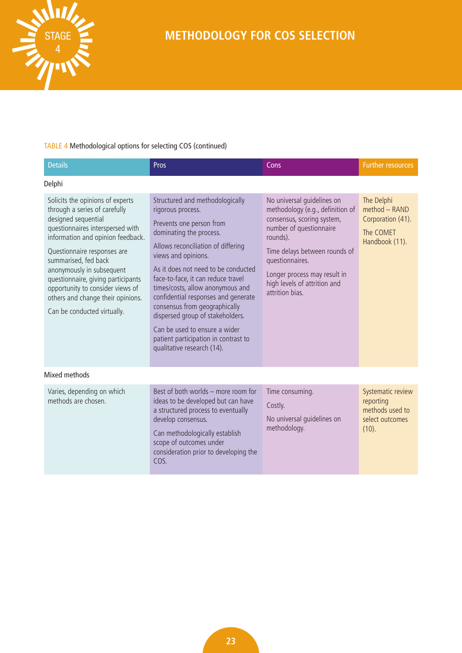

### TABLE 4 Methodological options for selecting COS (continued)

| <b>Details</b>                                                                                                                                                                                                                                                                                                                                                                                      | Pros                                                                                                                                                                                                                                                                                                                                                                                                                                                                                                         | Cons                                                                                                                                                                                                                                                                       | <b>Further resources</b>                                                        |
|-----------------------------------------------------------------------------------------------------------------------------------------------------------------------------------------------------------------------------------------------------------------------------------------------------------------------------------------------------------------------------------------------------|--------------------------------------------------------------------------------------------------------------------------------------------------------------------------------------------------------------------------------------------------------------------------------------------------------------------------------------------------------------------------------------------------------------------------------------------------------------------------------------------------------------|----------------------------------------------------------------------------------------------------------------------------------------------------------------------------------------------------------------------------------------------------------------------------|---------------------------------------------------------------------------------|
| Delphi                                                                                                                                                                                                                                                                                                                                                                                              |                                                                                                                                                                                                                                                                                                                                                                                                                                                                                                              |                                                                                                                                                                                                                                                                            |                                                                                 |
| Solicits the opinions of experts<br>through a series of carefully<br>designed sequential<br>questionnaires interspersed with<br>information and opinion feedback.<br>Questionnaire responses are<br>summarised, fed back<br>anonymously in subsequent<br>questionnaire, giving participants<br>opportunity to consider views of<br>others and change their opinions.<br>Can be conducted virtually. | Structured and methodologically<br>rigorous process.<br>Prevents one person from<br>dominating the process.<br>Allows reconciliation of differing<br>views and opinions.<br>As it does not need to be conducted<br>face-to-face, it can reduce travel<br>times/costs, allow anonymous and<br>confidential responses and generate<br>consensus from geographically<br>dispersed group of stakeholders.<br>Can be used to ensure a wider<br>patient participation in contrast to<br>qualitative research (14). | No universal quidelines on<br>methodology (e.g., definition of<br>consensus, scoring system,<br>number of questionnaire<br>rounds).<br>Time delays between rounds of<br>questionnaires.<br>Longer process may result in<br>high levels of attrition and<br>attrition bias. | The Delphi<br>method - RAND<br>Corporation (41).<br>The COMET<br>Handbook (11). |
| Mixed methods                                                                                                                                                                                                                                                                                                                                                                                       |                                                                                                                                                                                                                                                                                                                                                                                                                                                                                                              |                                                                                                                                                                                                                                                                            |                                                                                 |
| Varies, depending on which<br>methods are chosen.                                                                                                                                                                                                                                                                                                                                                   | Best of both worlds - more room for<br>ideas to be developed but can have<br>a structured process to eventually<br>develop consensus.<br>Can methodologically establish<br>scope of outcomes under<br>consideration prior to developing the<br>COS.                                                                                                                                                                                                                                                          | Time consuming.<br>Costly.<br>No universal quidelines on<br>methodology.                                                                                                                                                                                                   | Systematic review<br>reporting<br>methods used to<br>select outcomes<br>(10).   |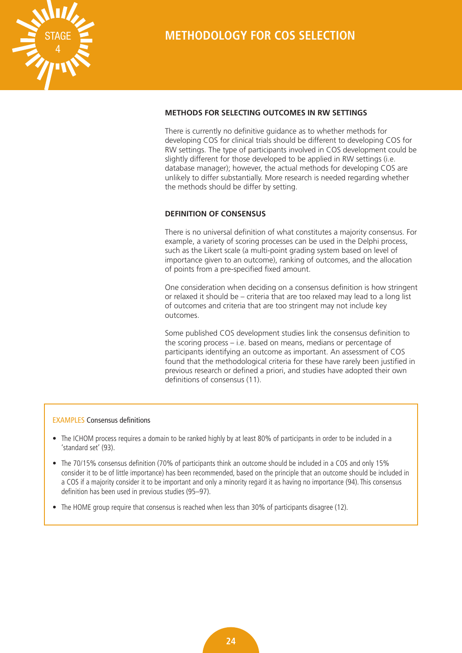<span id="page-27-0"></span>

### **METHODS FOR SELECTING OUTCOMES IN RW SETTINGS**

There is currently no definitive guidance as to whether methods for developing COS for clinical trials should be different to developing COS for RW settings. The type of participants involved in COS development could be slightly different for those developed to be applied in RW settings (i.e. database manager); however, the actual methods for developing COS are unlikely to differ substantially. More research is needed regarding whether the methods should be differ by setting.

### **DEFINITION OF CONSENSUS**

There is no universal definition of what constitutes a majority consensus. For example, a variety of scoring processes can be used in the Delphi process, such as the Likert scale (a multi-point grading system based on level of importance given to an outcome), ranking of outcomes, and the allocation of points from a pre-specified fixed amount.

One consideration when deciding on a consensus definition is how stringent or relaxed it should be – criteria that are too relaxed may lead to a long list of outcomes and criteria that are too stringent may not include key outcomes.

Some published COS development studies link the consensus definition to the scoring process – i.e. based on means, medians or percentage of participants identifying an outcome as important. An assessment of COS found that the methodological criteria for these have rarely been justified in previous research or defined a priori, and studies have adopted their own definitions of consensus (11).

### EXAMPLES Consensus definitions

- The ICHOM process requires a domain to be ranked highly by at least 80% of participants in order to be included in a 'standard set' (93).
- The 70/15% consensus definition (70% of participants think an outcome should be included in a COS and only 15% consider it to be of little importance) has been recommended, based on the principle that an outcome should be included in a COS if a majority consider it to be important and only a minority regard it as having no importance (94). This consensus definition has been used in previous studies (95–97).
- The HOME group require that consensus is reached when less than 30% of participants disagree (12).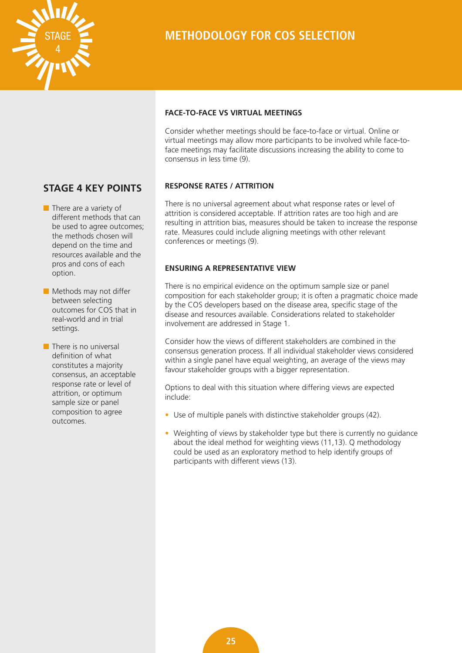<span id="page-28-0"></span>

# **METHODOLOGY FOR COS SELECTION**

### **STAGE 4 KEY POINTS**

- $\blacksquare$  There are a variety of different methods that can be used to agree outcomes; the methods chosen will depend on the time and resources available and the pros and cons of each option.
- $\blacksquare$  Methods may not differ between selecting outcomes for COS that in real-world and in trial settings.
- $\blacksquare$  There is no universal definition of what constitutes a majority consensus, an acceptable response rate or level of attrition, or optimum sample size or panel composition to agree outcomes.

### **FACE-TO-FACE VS VIRTUAL MEETINGS**

Consider whether meetings should be face-to-face or virtual. Online or virtual meetings may allow more participants to be involved while face-toface meetings may facilitate discussions increasing the ability to come to consensus in less time (9).

### **RESPONSE RATES / ATTRITION**

There is no universal agreement about what response rates or level of attrition is considered acceptable. If attrition rates are too high and are resulting in attrition bias, measures should be taken to increase the response rate. Measures could include aligning meetings with other relevant conferences or meetings (9).

### **ENSURING A REPRESENTATIVE VIEW**

There is no empirical evidence on the optimum sample size or panel composition for each stakeholder group; it is often a pragmatic choice made by the COS developers based on the disease area, specific stage of the disease and resources available. Considerations related to stakeholder involvement are addressed in Stage 1.

Consider how the views of different stakeholders are combined in the consensus generation process. If all individual stakeholder views considered within a single panel have equal weighting, an average of the views may favour stakeholder groups with a bigger representation.

Options to deal with this situation where differing views are expected include:

- Use of multiple panels with distinctive stakeholder groups (42).
- Weighting of views by stakeholder type but there is currently no guidance about the ideal method for weighting views (11,13). Q methodology could be used as an exploratory method to help identify groups of participants with different views (13).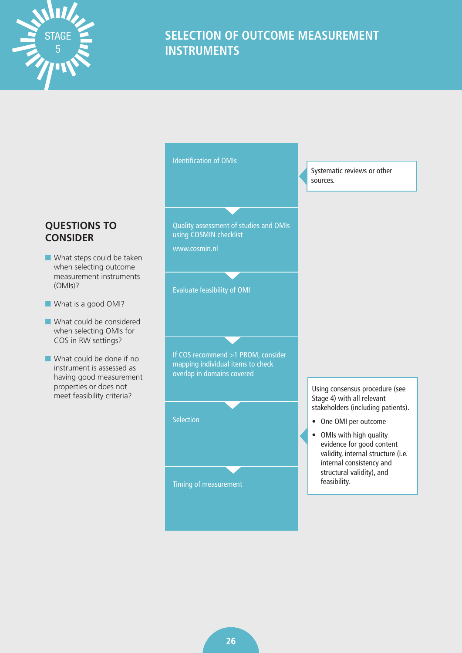<span id="page-29-0"></span>



### $\blacksquare$  What steps could be taken when selecting outcome measurement instruments (OMIs)?

- **Now What is a good OMI?**
- $\blacksquare$  What could be considered when selecting OMIs for COS in RW settings?
- $\blacksquare$  What could be done if no instrument is assessed as having good measurement properties or does not meet feasibility criteria?



Identification of OMIs

Systematic reviews or other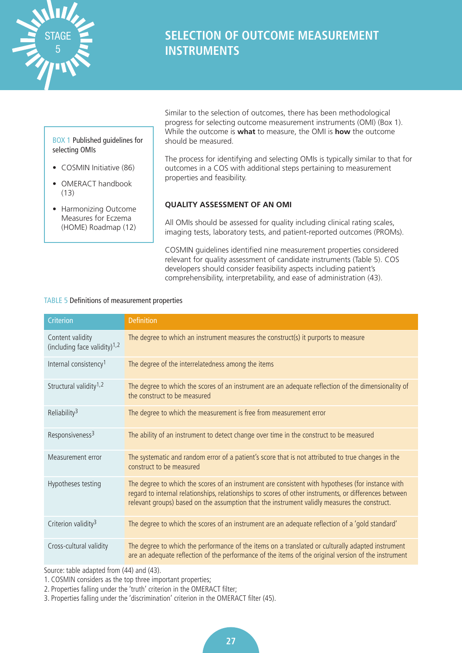<span id="page-30-0"></span>

### BOX 1 Published guidelines for selecting OMIs

- COSMIN Initiative (86)
- OMERACT handbook (13)
- Harmonizing Outcome Measures for Eczema (HOME) Roadmap (12)

Similar to the selection of outcomes, there has been methodological progress for selecting outcome measurement instruments (OMI) (Box 1). While the outcome is **what** to measure, the OMI is **how** the outcome should be measured.

The process for identifying and selecting OMIs is typically similar to that for outcomes in a COS with additional steps pertaining to measurement properties and feasibility.

### **QUALITY ASSESSMENT OF AN OMI**

All OMIs should be assessed for quality including clinical rating scales, imaging tests, laboratory tests, and patient-reported outcomes (PROMs).

COSMIN guidelines identified nine measurement properties considered relevant for quality assessment of candidate instruments (Table 5). COS developers should consider feasibility aspects including patient's comprehensibility, interpretability, and ease of administration (43).

### TABLE 5 Definitions of measurement properties

| Criterion                                           | <b>Definition</b>                                                                                                                                                                                                                                                                                           |
|-----------------------------------------------------|-------------------------------------------------------------------------------------------------------------------------------------------------------------------------------------------------------------------------------------------------------------------------------------------------------------|
| Content validity<br>(including face validity) $1,2$ | The degree to which an instrument measures the construct(s) it purports to measure                                                                                                                                                                                                                          |
| Internal consistency <sup>1</sup>                   | The degree of the interrelatedness among the items                                                                                                                                                                                                                                                          |
| Structural validity <sup>1,2</sup>                  | The degree to which the scores of an instrument are an adequate reflection of the dimensionality of<br>the construct to be measured                                                                                                                                                                         |
| Reliability <sup>3</sup>                            | The degree to which the measurement is free from measurement error                                                                                                                                                                                                                                          |
| Responsiveness <sup>3</sup>                         | The ability of an instrument to detect change over time in the construct to be measured                                                                                                                                                                                                                     |
| Measurement error                                   | The systematic and random error of a patient's score that is not attributed to true changes in the<br>construct to be measured                                                                                                                                                                              |
| Hypotheses testing                                  | The degree to which the scores of an instrument are consistent with hypotheses (for instance with<br>regard to internal relationships, relationships to scores of other instruments, or differences between<br>relevant groups) based on the assumption that the instrument validly measures the construct. |
| Criterion validity <sup>3</sup>                     | The degree to which the scores of an instrument are an adequate reflection of a 'gold standard'                                                                                                                                                                                                             |
| Cross-cultural validity                             | The degree to which the performance of the items on a translated or culturally adapted instrument<br>are an adequate reflection of the performance of the items of the original version of the instrument                                                                                                   |

Source: table adapted from (44) and (43).

1. COSMIN considers as the top three important properties;

2. Properties falling under the 'truth' criterion in the OMERACT filter;

3. Properties falling under the 'discrimination' criterion in the OMERACT filter (45).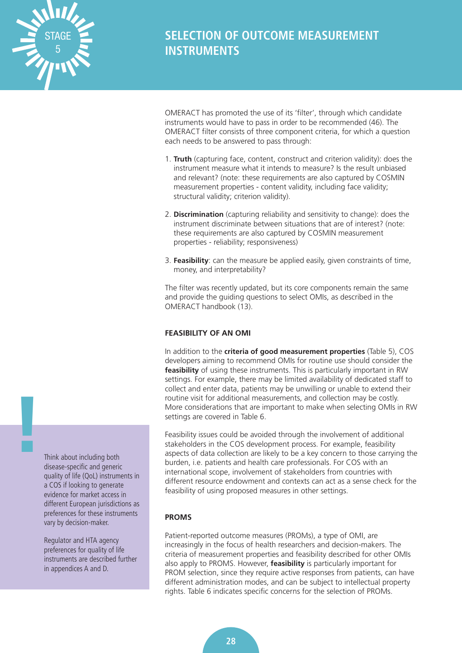<span id="page-31-0"></span>

OMERACT has promoted the use of its 'filter', through which candidate instruments would have to pass in order to be recommended (46). The OMERACT filter consists of three component criteria, for which a question each needs to be answered to pass through:

- 1. **Truth** (capturing face, content, construct and criterion validity): does the instrument measure what it intends to measure? Is the result unbiased and relevant? (note: these requirements are also captured by COSMIN measurement properties - content validity, including face validity; structural validity; criterion validity).
- 2. **Discrimination** (capturing reliability and sensitivity to change): does the instrument discriminate between situations that are of interest? (note: these requirements are also captured by COSMIN measurement properties - reliability; responsiveness)
- 3. **Feasibility**: can the measure be applied easily, given constraints of time, money, and interpretability?

The filter was recently updated, but its core components remain the same and provide the guiding questions to select OMIs, as described in the OMERACT handbook (13).

### **FEASIBILITY OF AN OMI**

In addition to the **criteria of good measurement properties** (Table 5), COS developers aiming to recommend OMIs for routine use should consider the **feasibility** of using these instruments. This is particularly important in RW settings. For example, there may be limited availability of dedicated staff to collect and enter data, patients may be unwilling or unable to extend their routine visit for additional measurements, and collection may be costly. More considerations that are important to make when selecting OMIs in RW settings are covered in Table 6.

Feasibility issues could be avoided through the involvement of additional stakeholders in the COS development process. For example, feasibility aspects of data collection are likely to be a key concern to those carrying the burden, i.e. patients and health care professionals. For COS with an international scope, involvement of stakeholders from countries with different resource endowment and contexts can act as a sense check for the feasibility of using proposed measures in other settings.

### **PROMS**

Patient-reported outcome measures (PROMs), a type of OMI, are increasingly in the focus of health researchers and decision-makers. The criteria of measurement properties and feasibility described for other OMIs also apply to PROMS. However, **feasibility** is particularly important for PROM selection, since they require active responses from patients, can have different administration modes, and can be subject to intellectual property rights. Table 6 indicates specific concerns for the selection of PROMs.

Think about including both disease-specific and generic quality of life (QoL) instruments in a COS if looking to generate evidence for market access in different European jurisdictions as preferences for these instruments vary by decision-maker.

**!**

Regulator and HTA agency preferences for quality of life instruments are described further in appendices A and D.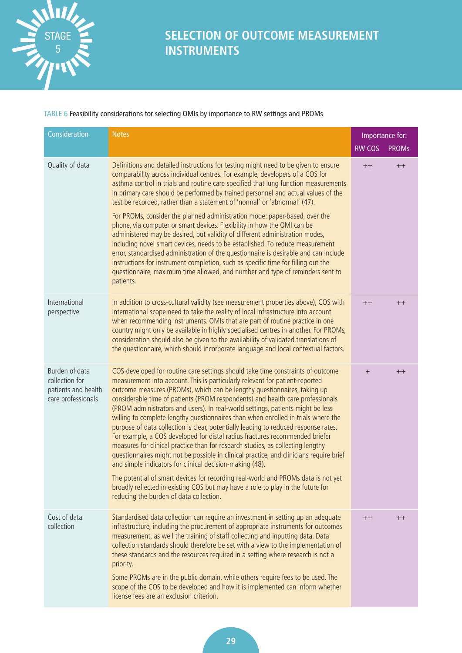

TABLE 6 Feasibility considerations for selecting OMIs by importance to RW settings and PROMs

| Consideration                                                                 | <b>Notes</b>                                                                                                                                                                                                                                                                                                                                                                                                                                                                                                                                                                                                                                                                                                                                                                                                                                                                                                                                                                                                |               | Importance for: |
|-------------------------------------------------------------------------------|-------------------------------------------------------------------------------------------------------------------------------------------------------------------------------------------------------------------------------------------------------------------------------------------------------------------------------------------------------------------------------------------------------------------------------------------------------------------------------------------------------------------------------------------------------------------------------------------------------------------------------------------------------------------------------------------------------------------------------------------------------------------------------------------------------------------------------------------------------------------------------------------------------------------------------------------------------------------------------------------------------------|---------------|-----------------|
|                                                                               |                                                                                                                                                                                                                                                                                                                                                                                                                                                                                                                                                                                                                                                                                                                                                                                                                                                                                                                                                                                                             | <b>RW COS</b> | <b>PROMs</b>    |
| Quality of data                                                               | Definitions and detailed instructions for testing might need to be given to ensure<br>comparability across individual centres. For example, developers of a COS for<br>asthma control in trials and routine care specified that lung function measurements<br>in primary care should be performed by trained personnel and actual values of the<br>test be recorded, rather than a statement of 'normal' or 'abnormal' (47).<br>For PROMs, consider the planned administration mode: paper-based, over the<br>phone, via computer or smart devices. Flexibility in how the OMI can be                                                                                                                                                                                                                                                                                                                                                                                                                       | $++$          | $++$            |
|                                                                               | administered may be desired, but validity of different administration modes,<br>including novel smart devices, needs to be established. To reduce measurement<br>error, standardised administration of the questionnaire is desirable and can include<br>instructions for instrument completion, such as specific time for filling out the<br>questionnaire, maximum time allowed, and number and type of reminders sent to<br>patients.                                                                                                                                                                                                                                                                                                                                                                                                                                                                                                                                                                    |               |                 |
| International<br>perspective                                                  | In addition to cross-cultural validity (see measurement properties above), COS with<br>international scope need to take the reality of local infrastructure into account<br>when recommending instruments. OMIs that are part of routine practice in one<br>country might only be available in highly specialised centres in another. For PROMs,<br>consideration should also be given to the availability of validated translations of<br>the questionnaire, which should incorporate language and local contextual factors.                                                                                                                                                                                                                                                                                                                                                                                                                                                                               | $++$          | $++$            |
| Burden of data<br>collection for<br>patients and health<br>care professionals | COS developed for routine care settings should take time constraints of outcome<br>measurement into account. This is particularly relevant for patient-reported<br>outcome measures (PROMs), which can be lengthy questionnaires, taking up<br>considerable time of patients (PROM respondents) and health care professionals<br>(PROM administrators and users). In real-world settings, patients might be less<br>willing to complete lengthy questionnaires than when enrolled in trials where the<br>purpose of data collection is clear, potentially leading to reduced response rates.<br>For example, a COS developed for distal radius fractures recommended briefer<br>measures for clinical practice than for research studies, as collecting lengthy<br>questionnaires might not be possible in clinical practice, and clinicians require brief<br>and simple indicators for clinical decision-making (48).<br>The potential of smart devices for recording real-world and PROMs data is not yet | $+$           | $++$            |
|                                                                               | broadly reflected in existing COS but may have a role to play in the future for<br>reducing the burden of data collection.                                                                                                                                                                                                                                                                                                                                                                                                                                                                                                                                                                                                                                                                                                                                                                                                                                                                                  |               |                 |
| Cost of data<br>collection                                                    | Standardised data collection can require an investment in setting up an adequate<br>infrastructure, including the procurement of appropriate instruments for outcomes<br>measurement, as well the training of staff collecting and inputting data. Data<br>collection standards should therefore be set with a view to the implementation of<br>these standards and the resources required in a setting where research is not a<br>priority.                                                                                                                                                                                                                                                                                                                                                                                                                                                                                                                                                                | $++$          | $++$            |
|                                                                               | Some PROMs are in the public domain, while others require fees to be used. The<br>scope of the COS to be developed and how it is implemented can inform whether<br>license fees are an exclusion criterion.                                                                                                                                                                                                                                                                                                                                                                                                                                                                                                                                                                                                                                                                                                                                                                                                 |               |                 |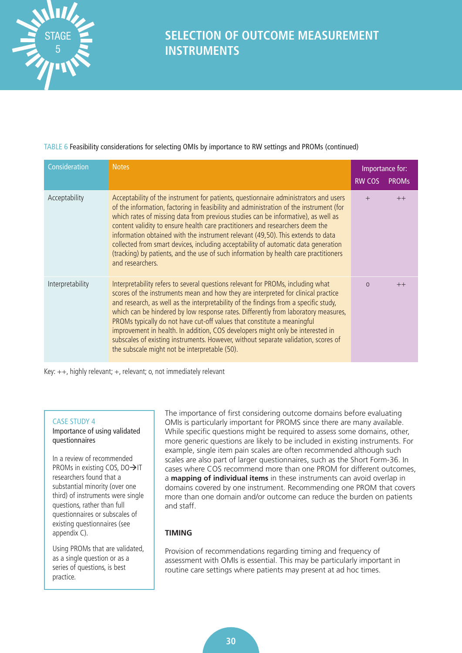<span id="page-33-0"></span>

### TABLE 6 Feasibility considerations for selecting OMIs by importance to RW settings and PROMs (continued)

| Consideration    | <b>Notes</b>                                                                                                                                                                                                                                                                                                                                                                                                                                                                                                                                                                                                                                           | <b>RW COS</b> | Importance for:<br><b>PROMs</b> |
|------------------|--------------------------------------------------------------------------------------------------------------------------------------------------------------------------------------------------------------------------------------------------------------------------------------------------------------------------------------------------------------------------------------------------------------------------------------------------------------------------------------------------------------------------------------------------------------------------------------------------------------------------------------------------------|---------------|---------------------------------|
| Acceptability    | Acceptability of the instrument for patients, questionnaire administrators and users<br>of the information, factoring in feasibility and administration of the instrument (for<br>which rates of missing data from previous studies can be informative), as well as<br>content validity to ensure health care practitioners and researchers deem the<br>information obtained with the instrument relevant (49,50). This extends to data<br>collected from smart devices, including acceptability of automatic data generation<br>(tracking) by patients, and the use of such information by health care practitioners<br>and researchers.              |               | $++$                            |
| Interpretability | Interpretability refers to several questions relevant for PROMs, including what<br>scores of the instruments mean and how they are interpreted for clinical practice<br>and research, as well as the interpretability of the findings from a specific study,<br>which can be hindered by low response rates. Differently from laboratory measures,<br>PROMs typically do not have cut-off values that constitute a meaningful<br>improvement in health. In addition, COS developers might only be interested in<br>subscales of existing instruments. However, without separate validation, scores of<br>the subscale might not be interpretable (50). | $\Omega$      | $++$                            |

Key: ++, highly relevant; +, relevant; o, not immediately relevant

### CASE STUDY 4

Importance of using validated questionnaires

In a review of recommended PROMs in existing COS,  $DO \rightarrow IT$ researchers found that a substantial minority (over one third) of instruments were single questions, rather than full questionnaires or subscales of existing questionnaires (see appendix C).

Using PROMs that are validated, as a single question or as a series of questions, is best practice.

The importance of first considering outcome domains before evaluating OMIs is particularly important for PROMS since there are many available. While specific questions might be required to assess some domains, other, more generic questions are likely to be included in existing instruments. For example, single item pain scales are often recommended although such scales are also part of larger questionnaires, such as the Short Form-36. In cases where COS recommend more than one PROM for different outcomes, a **mapping of individual items** in these instruments can avoid overlap in domains covered by one instrument. Recommending one PROM that covers more than one domain and/or outcome can reduce the burden on patients and staff.

### **TIMING**

Provision of recommendations regarding timing and frequency of assessment with OMIs is essential. This may be particularly important in routine care settings where patients may present at ad hoc times.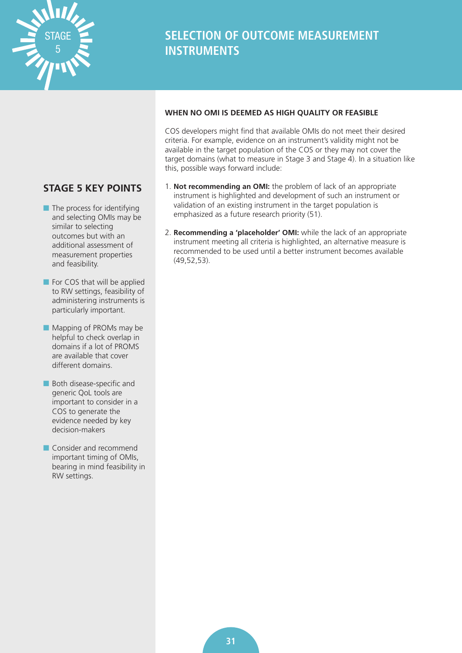<span id="page-34-0"></span>

### **STAGE 5 KEY POINTS**

- $\blacksquare$  The process for identifying and selecting OMIs may be similar to selecting outcomes but with an additional assessment of measurement properties and feasibility.
- $\blacksquare$  For COS that will be applied to RW settings, feasibility of administering instruments is particularly important.
- $\blacksquare$  Mapping of PROMs may be helpful to check overlap in domains if a lot of PROMS are available that cover different domains.
- **n** Both disease-specific and generic QoL tools are important to consider in a COS to generate the evidence needed by key decision-makers
- **n** Consider and recommend important timing of OMIs, bearing in mind feasibility in RW settings.

### **WHEN NO OMI IS DEEMED AS HIGH QUALITY OR FEASIBLE**

COS developers might find that available OMIs do not meet their desired criteria. For example, evidence on an instrument's validity might not be available in the target population of the COS or they may not cover the target domains (what to measure in Stage 3 and Stage 4). In a situation like this, possible ways forward include:

- 1. **Not recommending an OMI:** the problem of lack of an appropriate instrument is highlighted and development of such an instrument or validation of an existing instrument in the target population is emphasized as a future research priority (51).
- 2. **Recommending a 'placeholder' OMI:** while the lack of an appropriate instrument meeting all criteria is highlighted, an alternative measure is recommended to be used until a better instrument becomes available (49,52,53).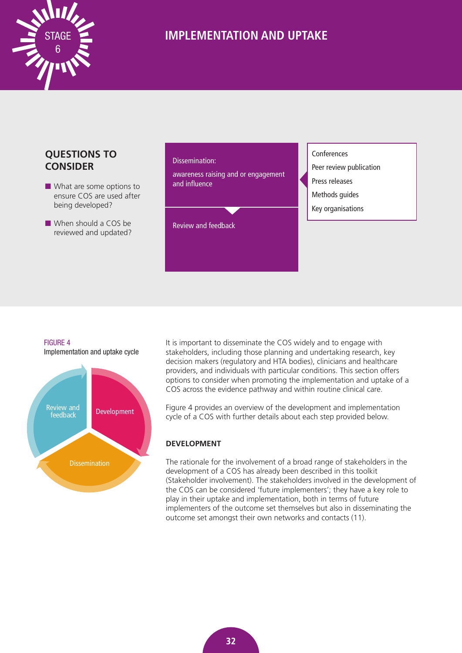<span id="page-35-0"></span>

### **QUESTIONS TO CONSIDER**

- $\blacksquare$  What are some options to ensure COS are used after being developed?
- $\blacksquare$  When should a COS be reviewed and updated?

#### Dissemination:

awareness raising and or engagement and influence

Review and feedback

#### Conferences

- Peer review publication
- Press releases
- Methods guides
- Key organisations

### FIGURE 4

Implementation and uptake cycle



It is important to disseminate the COS widely and to engage with stakeholders, including those planning and undertaking research, key decision makers (regulatory and HTA bodies), clinicians and healthcare providers, and individuals with particular conditions. This section offers options to consider when promoting the implementation and uptake of a COS across the evidence pathway and within routine clinical care.

Figure 4 provides an overview of the development and implementation cycle of a COS with further details about each step provided below.

#### **DEVELOPMENT**

The rationale for the involvement of a broad range of stakeholders in the development of a COS has already been described in this toolkit (Stakeholder involvement). The stakeholders involved in the development of the COS can be considered 'future implementers'; they have a key role to play in their uptake and implementation, both in terms of future implementers of the outcome set themselves but also in disseminating the outcome set amongst their own networks and contacts (11).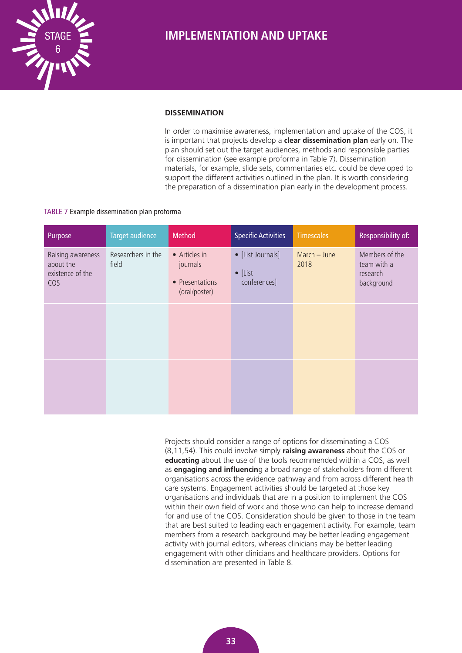<span id="page-36-0"></span>

#### **DISSEMINATION**

In order to maximise awareness, implementation and uptake of the COS, it is important that projects develop a **clear dissemination plan** early on. The plan should set out the target audiences, methods and responsible parties for dissemination (see example proforma in Table 7). Dissemination materials, for example, slide sets, commentaries etc. could be developed to support the different activities outlined in the plan. It is worth considering the preparation of a dissemination plan early in the development process.

#### TABLE 7 Example dissemination plan proforma

| Purpose                                                   | Target audience             | Method                                                        | <b>Specific Activities</b>                           | <b>Timescales</b>    | Responsibility of:                                      |
|-----------------------------------------------------------|-----------------------------|---------------------------------------------------------------|------------------------------------------------------|----------------------|---------------------------------------------------------|
| Raising awareness<br>about the<br>existence of the<br>COS | Researchers in the<br>field | • Articles in<br>journals<br>• Presentations<br>(oral/poster) | • [List Journals]<br>$\bullet$ [List<br>conferences] | March - June<br>2018 | Members of the<br>team with a<br>research<br>background |
|                                                           |                             |                                                               |                                                      |                      |                                                         |
|                                                           |                             |                                                               |                                                      |                      |                                                         |

Projects should consider a range of options for disseminating a COS (8,11,54). This could involve simply **raising awareness** about the COS or **educating** about the use of the tools recommended within a COS, as well as **engaging and influencin**g a broad range of stakeholders from different organisations across the evidence pathway and from across different health care systems. Engagement activities should be targeted at those key organisations and individuals that are in a position to implement the COS within their own field of work and those who can help to increase demand for and use of the COS. Consideration should be given to those in the team that are best suited to leading each engagement activity. For example, team members from a research background may be better leading engagement activity with journal editors, whereas clinicians may be better leading engagement with other clinicians and healthcare providers. Options for dissemination are presented in Table 8.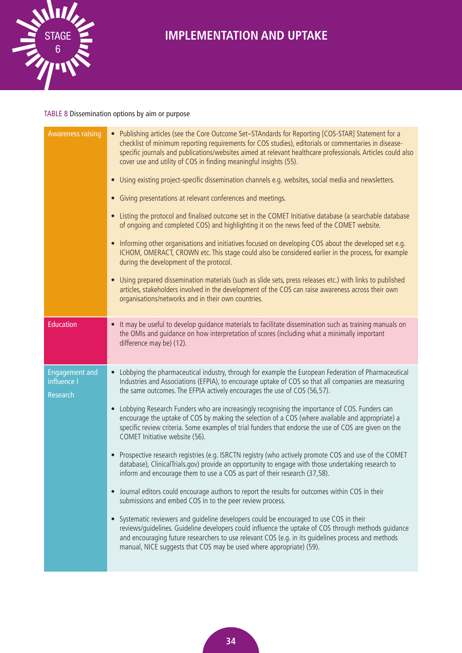

### TABLE 8 Dissemination options by aim or purpose

| <b>Awareness raising</b>                                | • Publishing articles (see the Core Outcome Set-STAndards for Reporting [COS-STAR] Statement for a<br>checklist of minimum reporting requirements for COS studies), editorials or commentaries in disease-<br>specific journals and publications/websites aimed at relevant healthcare professionals. Articles could also<br>cover use and utility of COS in finding meaningful insights (55).<br>• Using existing project-specific dissemination channels e.g. websites, social media and newsletters.<br>• Giving presentations at relevant conferences and meetings.<br>• Listing the protocol and finalised outcome set in the COMET Initiative database (a searchable database<br>of ongoing and completed COS) and highlighting it on the news feed of the COMET website.<br>• Informing other organisations and initiatives focused on developing COS about the developed set e.g.<br>ICHOM, OMERACT, CROWN etc. This stage could also be considered earlier in the process, for example<br>during the development of the protocol.<br>• Using prepared dissemination materials (such as slide sets, press releases etc.) with links to published<br>articles, stakeholders involved in the development of the COS can raise awareness across their own<br>organisations/networks and in their own countries.                                                                                                                                                                   |
|---------------------------------------------------------|----------------------------------------------------------------------------------------------------------------------------------------------------------------------------------------------------------------------------------------------------------------------------------------------------------------------------------------------------------------------------------------------------------------------------------------------------------------------------------------------------------------------------------------------------------------------------------------------------------------------------------------------------------------------------------------------------------------------------------------------------------------------------------------------------------------------------------------------------------------------------------------------------------------------------------------------------------------------------------------------------------------------------------------------------------------------------------------------------------------------------------------------------------------------------------------------------------------------------------------------------------------------------------------------------------------------------------------------------------------------------------------------------------------------------------------------------------------------------------------|
| <b>Education</b>                                        | • It may be useful to develop quidance materials to facilitate dissemination such as training manuals on<br>the OMIs and guidance on how interpretation of scores (including what a minimally important<br>difference may be) (12).                                                                                                                                                                                                                                                                                                                                                                                                                                                                                                                                                                                                                                                                                                                                                                                                                                                                                                                                                                                                                                                                                                                                                                                                                                                    |
| <b>Engagement and</b><br>influence I<br><b>Research</b> | • Lobbying the pharmaceutical industry, through for example the European Federation of Pharmaceutical<br>Industries and Associations (EFPIA), to encourage uptake of COS so that all companies are measuring<br>the same outcomes. The EFPIA actively encourages the use of COS (56,57).<br>• Lobbying Research Funders who are increasingly recognising the importance of COS. Funders can<br>encourage the uptake of COS by making the selection of a COS (where available and appropriate) a<br>specific review criteria. Some examples of trial funders that endorse the use of COS are given on the<br>COMET Initiative website (56).<br>• Prospective research registries (e.g. ISRCTN registry (who actively promote COS and use of the COMET<br>database), ClinicalTrials.gov) provide an opportunity to engage with those undertaking research to<br>inform and encourage them to use a COS as part of their research (37,58).<br>• Journal editors could encourage authors to report the results for outcomes within COS in their<br>submissions and embed COS in to the peer review process.<br>• Systematic reviewers and guideline developers could be encouraged to use COS in their<br>reviews/guidelines. Guideline developers could influence the uptake of COS through methods guidance<br>and encouraging future researchers to use relevant COS (e.g. in its guidelines process and methods<br>manual, NICE suggests that COS may be used where appropriate) (59). |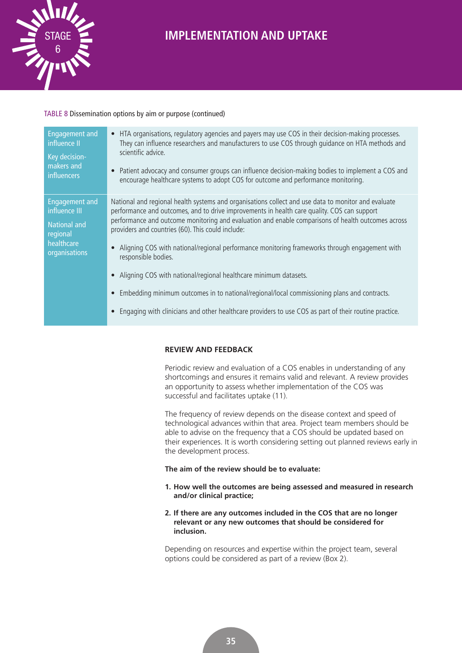<span id="page-38-0"></span>

### TABLE 8 Dissemination options by aim or purpose (continued)

| <b>Engagement and</b> | HTA organisations, regulatory agencies and payers may use COS in their decision-making processes.                                                                                                                                                                        |
|-----------------------|--------------------------------------------------------------------------------------------------------------------------------------------------------------------------------------------------------------------------------------------------------------------------|
| influence II          | They can influence researchers and manufacturers to use COS through quidance on HTA methods and                                                                                                                                                                          |
| Key decision-         | scientific advice.                                                                                                                                                                                                                                                       |
| makers and            | Patient advocacy and consumer groups can influence decision-making bodies to implement a COS and                                                                                                                                                                         |
| influencers           | encourage healthcare systems to adopt COS for outcome and performance monitoring.                                                                                                                                                                                        |
| <b>Engagement and</b> | National and regional health systems and organisations collect and use data to monitor and evaluate                                                                                                                                                                      |
| influence III         | performance and outcomes, and to drive improvements in health care quality. COS can support                                                                                                                                                                              |
| <b>National and</b>   | performance and outcome monitoring and evaluation and enable comparisons of health outcomes across                                                                                                                                                                       |
| regional              | providers and countries (60). This could include:                                                                                                                                                                                                                        |
| healthcare            | Aligning COS with national/regional performance monitoring frameworks through engagement with                                                                                                                                                                            |
| organisations         | responsible bodies.                                                                                                                                                                                                                                                      |
|                       | Aligning COS with national/regional healthcare minimum datasets.<br>Embedding minimum outcomes in to national/regional/local commissioning plans and contracts.<br>Engaging with clinicians and other healthcare providers to use COS as part of their routine practice. |

### **REVIEW AND FEEDBACK**

Periodic review and evaluation of a COS enables in understanding of any shortcomings and ensures it remains valid and relevant. A review provides an opportunity to assess whether implementation of the COS was successful and facilitates uptake (11).

The frequency of review depends on the disease context and speed of technological advances within that area. Project team members should be able to advise on the frequency that a COS should be updated based on their experiences. It is worth considering setting out planned reviews early in the development process.

### **The aim of the review should be to evaluate:**

- **1. How well the outcomes are being assessed and measured in research and/or clinical practice;**
- **2. If there are any outcomes included in the COS that are no longer relevant or any new outcomes that should be considered for inclusion.**

Depending on resources and expertise within the project team, several options could be considered as part of a review (Box 2).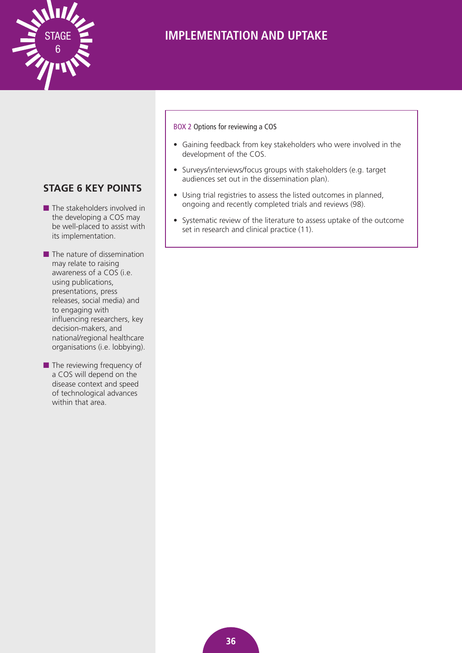

### BOX 2 Options for reviewing a COS

- Gaining feedback from key stakeholders who were involved in the development of the COS.
- Surveys/interviews/focus groups with stakeholders (e.g. target audiences set out in the dissemination plan).
- Using trial registries to assess the listed outcomes in planned, ongoing and recently completed trials and reviews (98).
- Systematic review of the literature to assess uptake of the outcome set in research and clinical practice (11).

### **STAGE 6 KEY POINTS**

- $\blacksquare$  The stakeholders involved in the developing a COS may be well-placed to assist with its implementation.
- $\blacksquare$  The nature of dissemination may relate to raising awareness of a COS (i.e. using publications, presentations, press releases, social media) and to engaging with influencing researchers, key decision-makers, and national/regional healthcare organisations (i.e. lobbying).
- $\blacksquare$  The reviewing frequency of a COS will depend on the disease context and speed of technological advances within that area.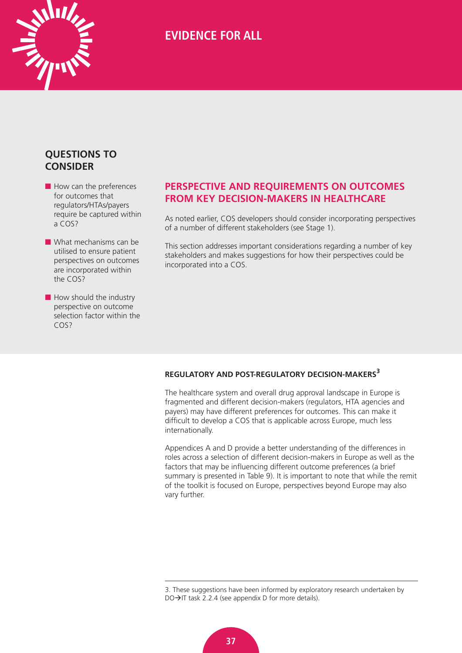<span id="page-40-0"></span>

### **QUESTIONS TO CONSIDER**

 $\blacksquare$  How can the preferences for outcomes that regulators/HTAs/payers require be captured within a COS?

 $\blacksquare$  What mechanisms can be utilised to ensure patient perspectives on outcomes are incorporated within the COS?

 $\blacksquare$  How should the industry perspective on outcome selection factor within the COS<sub>2</sub>

### **PERSPECTIVE AND REQUIREMENTS ON OUTCOMES FROM KEY DECISION-MAKERS IN HEALTHCARE**

As noted earlier, COS developers should consider incorporating perspectives of a number of different stakeholders (see Stage 1).

This section addresses important considerations regarding a number of key stakeholders and makes suggestions for how their perspectives could be incorporated into a COS.

### **REGULATORY AND POST-REGULATORY DECISION-MAKERS<sup>3</sup>**

The healthcare system and overall drug approval landscape in Europe is fragmented and different decision-makers (regulators, HTA agencies and payers) may have different preferences for outcomes. This can make it difficult to develop a COS that is applicable across Europe, much less internationally.

Appendices A and D provide a better understanding of the differences in roles across a selection of different decision-makers in Europe as well as the factors that may be influencing different outcome preferences (a brief summary is presented in Table 9). It is important to note that while the remit of the toolkit is focused on Europe, perspectives beyond Europe may also vary further.

<sup>3.</sup> These suggestions have been informed by exploratory research undertaken by  $DO\rightarrow$  IT task 2.2.4 (see appendix D for more details).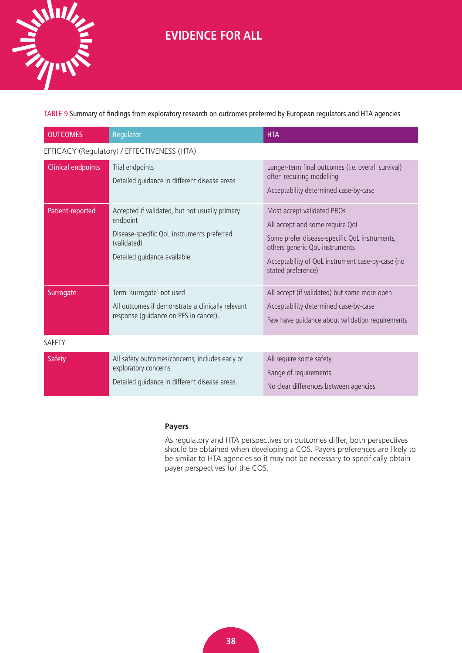<span id="page-41-0"></span>

TABLE 9 Summary of findings from exploratory research on outcomes preferred by European regulators and HTA agencies

| <b>OUTCOMES</b>           | Regulator                                                                                                                                              | <b>HTA</b>                                                                                                                                                                                                                 |
|---------------------------|--------------------------------------------------------------------------------------------------------------------------------------------------------|----------------------------------------------------------------------------------------------------------------------------------------------------------------------------------------------------------------------------|
|                           | EFFICACY (Regulatory) / EFFECTIVENESS (HTA)                                                                                                            |                                                                                                                                                                                                                            |
| <b>Clinical endpoints</b> | Trial endpoints<br>Detailed guidance in different disease areas                                                                                        | Longer-term final outcomes (i.e. overall survival)<br>often requiring modelling<br>Acceptability determined case-by-case                                                                                                   |
| Patient-reported          | Accepted if validated, but not usually primary<br>endpoint<br>Disease-specific QoL instruments preferred<br>(validated)<br>Detailed guidance available | Most accept validated PROs<br>All accept and some require QoL<br>Some prefer disease-specific QoL instruments,<br>others generic QoL instruments<br>Acceptability of QoL instrument case-by-case (no<br>stated preference) |
| Surrogate                 | Term 'surrogate' not used<br>All outcomes if demonstrate a clinically relevant<br>response (guidance on PFS in cancer).                                | All accept (if validated) but some more open<br>Acceptability determined case-by-case<br>Few have guidance about validation requirements                                                                                   |
| SAFETY                    |                                                                                                                                                        |                                                                                                                                                                                                                            |
| <b>Safety</b>             | All safety outcomes/concerns, includes early or<br>exploratory concerns<br>Detailed guidance in different disease areas.                               | All require some safety<br>Range of requirements<br>No clear differences between agencies                                                                                                                                  |

### **Payers**

As regulatory and HTA perspectives on outcomes differ, both perspectives should be obtained when developing a COS. Payers preferences are likely to be similar to HTA agencies so it may not be necessary to specifically obtain payer perspectives for the COS.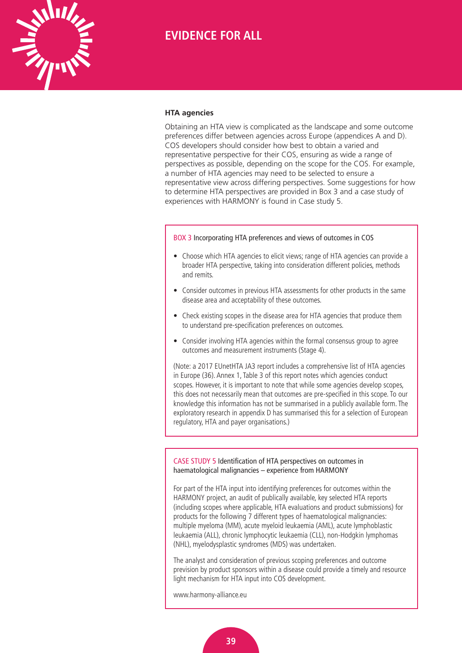<span id="page-42-0"></span>

#### **HTA agencies**

Obtaining an HTA view is complicated as the landscape and some outcome preferences differ between agencies across Europe (appendices A and D). COS developers should consider how best to obtain a varied and representative perspective for their COS, ensuring as wide a range of perspectives as possible, depending on the scope for the COS. For example, a number of HTA agencies may need to be selected to ensure a representative view across differing perspectives. Some suggestions for how to determine HTA perspectives are provided in Box 3 and a case study of experiences with HARMONY is found in Case study 5.

#### BOX 3 Incorporating HTA preferences and views of outcomes in COS

- Choose which HTA agencies to elicit views; range of HTA agencies can provide a broader HTA perspective, taking into consideration different policies, methods and remits.
- Consider outcomes in previous HTA assessments for other products in the same disease area and acceptability of these outcomes.
- Check existing scopes in the disease area for HTA agencies that produce them to understand pre-specification preferences on outcomes.
- Consider involving HTA agencies within the formal consensus group to agree outcomes and measurement instruments (Stage 4).

(Note: a 2017 EUnetHTA JA3 report includes a comprehensive list of HTA agencies in Europe (36). Annex 1, Table 3 of this report notes which agencies conduct scopes. However, it is important to note that while some agencies develop scopes, this does not necessarily mean that outcomes are pre-specified in this scope. To our knowledge this information has not be summarised in a publicly available form. The exploratory research in appendix D has summarised this for a selection of European regulatory, HTA and payer organisations.)

CASE STUDY 5 Identification of HTA perspectives on outcomes in haematological malignancies – experience from HARMONY

For part of the HTA input into identifying preferences for outcomes within the HARMONY project, an audit of publically available, key selected HTA reports (including scopes where applicable, HTA evaluations and product submissions) for products for the following 7 different types of haematological malignancies: multiple myeloma (MM), acute myeloid leukaemia (AML), acute lymphoblastic leukaemia (ALL), chronic lymphocytic leukaemia (CLL), non-Hodgkin lymphomas (NHL), myelodysplastic syndromes (MDS) was undertaken.

The analyst and consideration of previous scoping preferences and outcome prevision by product sponsors within a disease could provide a timely and resource light mechanism for HTA input into COS development.

[www.harmony-alliance.eu](http://www.harmony-alliance.eu)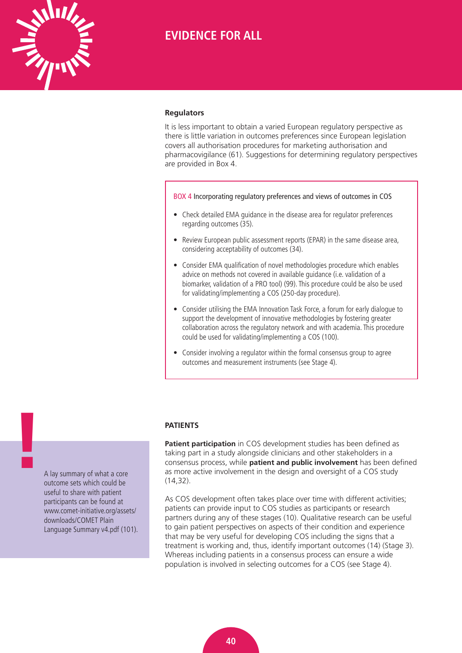<span id="page-43-0"></span>

#### **Regulators**

It is less important to obtain a varied European regulatory perspective as there is little variation in outcomes preferences since European legislation covers all authorisation procedures for marketing authorisation and pharmacovigilance (61). Suggestions for determining regulatory perspectives are provided in Box 4.

BOX 4 Incorporating regulatory preferences and views of outcomes in COS

- Check detailed EMA guidance in the disease area for regulator preferences regarding outcomes (35).
- Review European public assessment reports (EPAR) in the same disease area, considering acceptability of outcomes (34).
- Consider EMA qualification of novel methodologies procedure which enables advice on methods not covered in available guidance (i.e. validation of a biomarker, validation of a PRO tool) (99). This procedure could be also be used for validating/implementing a COS (250-day procedure).
- Consider utilising the EMA Innovation Task Force, a forum for early dialogue to support the development of innovative methodologies by fostering greater collaboration across the regulatory network and with academia. This procedure could be used for validating/implementing a COS (100).
- Consider involving a regulator within the formal consensus group to agree outcomes and measurement instruments (see Stage 4).

#### **PATIENTS**

**Patient participation** in COS development studies has been defined as taking part in a study alongside clinicians and other stakeholders in a consensus process, while **patient and public involvement** has been defined as more active involvement in the design and oversight of a COS study (14,32).

As COS development often takes place over time with different activities; patients can provide input to COS studies as participants or research partners during any of these stages (10). Qualitative research can be useful to gain patient perspectives on aspects of their condition and experience that may be very useful for developing COS including the signs that a treatment is working and, thus, identify important outcomes (14) (Stage 3). Whereas including patients in a consensus process can ensure a wide population is involved in selecting outcomes for a COS (see Stage 4).

A lay summary of what a core outcome sets which could be useful to share with patient participants can be found at www.comet-initiative.org/assets/ downloads/COMET Plain [Language Summary v4.pdf \(101\).](http://www.comet-initiative.org/assets/downloads/COMET Plain Language Summary v4.pdf)

**!**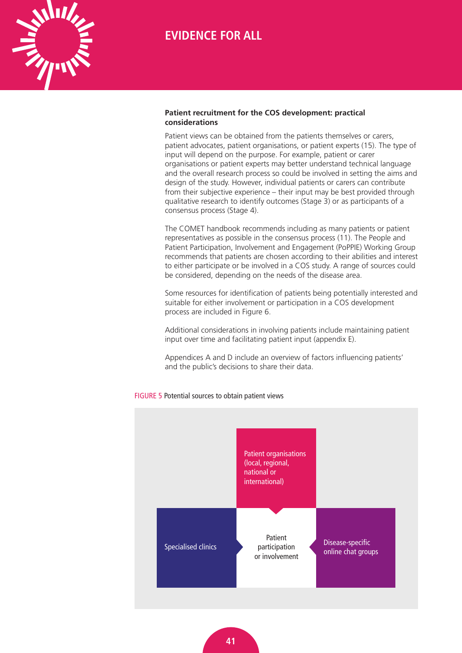<span id="page-44-0"></span>

### **Patient recruitment for the COS development: practical considerations**

Patient views can be obtained from the patients themselves or carers, patient advocates, patient organisations, or patient experts (15). The type of input will depend on the purpose. For example, patient or carer organisations or patient experts may better understand technical language and the overall research process so could be involved in setting the aims and design of the study. However, individual patients or carers can contribute from their subjective experience – their input may be best provided through qualitative research to identify outcomes (Stage 3) or as participants of a consensus process (Stage 4).

The COMET handbook recommends including as many patients or patient representatives as possible in the consensus process (11). The People and Patient Participation, Involvement and Engagement (PoPPIE) Working Group recommends that patients are chosen according to their abilities and interest to either participate or be involved in a COS study. A range of sources could be considered, depending on the needs of the disease area.

Some resources for identification of patients being potentially interested and suitable for either involvement or participation in a COS development process are included in Figure 6.

Additional considerations in involving patients include maintaining patient input over time and facilitating patient input (appendix E).

Appendices A and D include an overview of factors influencing patients' and the public's decisions to share their data.



### FIGURE 5 Potential sources to obtain patient views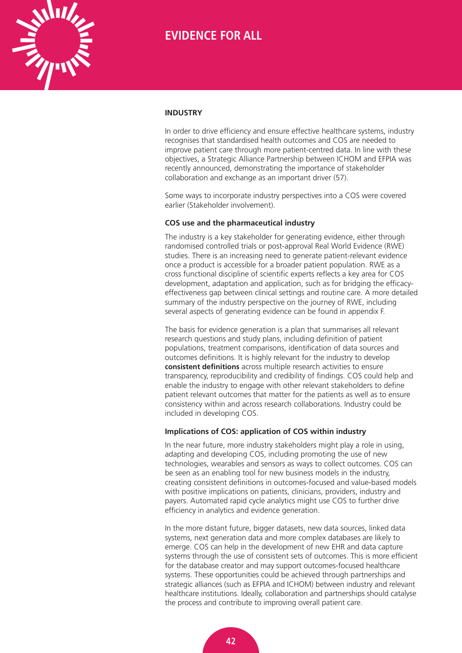<span id="page-45-0"></span>

#### **INDUSTRY**

In order to drive efficiency and ensure effective healthcare systems, industry recognises that standardised health outcomes and COS are needed to improve patient care through more patient-centred data. In line with these objectives, a Strategic Alliance Partnership between ICHOM and EFPIA was recently announced, demonstrating the importance of stakeholder collaboration and exchange as an important driver (57).

Some ways to incorporate industry perspectives into a COS were covered earlier (Stakeholder involvement).

#### **COS use and the pharmaceutical industry**

The industry is a key stakeholder for generating evidence, either through randomised controlled trials or post-approval Real World Evidence (RWE) studies. There is an increasing need to generate patient-relevant evidence once a product is accessible for a broader patient population. RWE as a cross functional discipline of scientific experts reflects a key area for COS development, adaptation and application, such as for bridging the efficacyeffectiveness gap between clinical settings and routine care. A more detailed summary of the industry perspective on the journey of RWE, including several aspects of generating evidence can be found in appendix F.

The basis for evidence generation is a plan that summarises all relevant research questions and study plans, including definition of patient populations, treatment comparisons, identification of data sources and outcomes definitions. It is highly relevant for the industry to develop **consistent definitions** across multiple research activities to ensure transparency, reproducibility and credibility of findings. COS could help and enable the industry to engage with other relevant stakeholders to define patient relevant outcomes that matter for the patients as well as to ensure consistency within and across research collaborations. Industry could be included in developing COS.

#### **Implications of COS: application of COS within industry**

In the near future, more industry stakeholders might play a role in using, adapting and developing COS, including promoting the use of new technologies, wearables and sensors as ways to collect outcomes. COS can be seen as an enabling tool for new business models in the industry, creating consistent definitions in outcomes-focused and value-based models with positive implications on patients, clinicians, providers, industry and payers. Automated rapid cycle analytics might use COS to further drive efficiency in analytics and evidence generation.

In the more distant future, bigger datasets, new data sources, linked data systems, next generation data and more complex databases are likely to emerge. COS can help in the development of new EHR and data capture systems through the use of consistent sets of outcomes. This is more efficient for the database creator and may support outcomes-focused healthcare systems. These opportunities could be achieved through partnerships and strategic alliances (such as EFPIA and ICHOM) between industry and relevant healthcare institutions. Ideally, collaboration and partnerships should catalyse the process and contribute to improving overall patient care.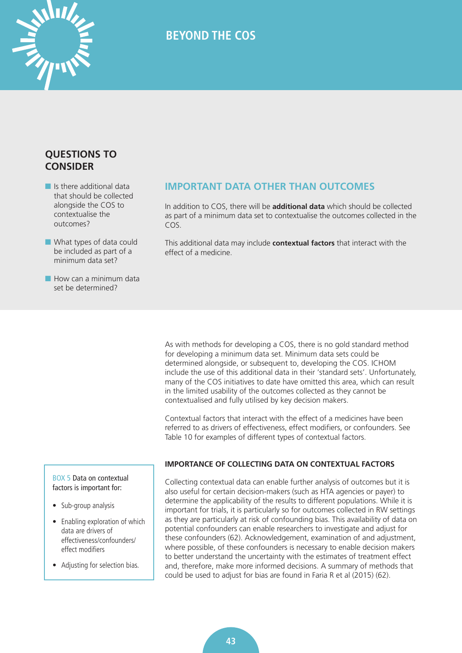<span id="page-46-0"></span>

### **QUESTIONS TO CONSIDER**

- $\blacksquare$  Is there additional data that should be collected alongside the COS to contextualise the outcomes?
- $\blacksquare$  What types of data could be included as part of a minimum data set?
- $\blacksquare$  How can a minimum data set be determined?

### **IMPORTANT DATA OTHER THAN OUTCOMES**

In addition to COS, there will be **additional data** which should be collected as part of a minimum data set to contextualise the outcomes collected in the COS.

This additional data may include **contextual factors** that interact with the effect of a medicine.

As with methods for developing a COS, there is no gold standard method for developing a minimum data set. Minimum data sets could be determined alongside, or subsequent to, developing the COS. ICHOM include the use of this additional data in their 'standard sets'. Unfortunately, many of the COS initiatives to date have omitted this area, which can result in the limited usability of the outcomes collected as they cannot be contextualised and fully utilised by key decision makers.

Contextual factors that interact with the effect of a medicines have been referred to as drivers of effectiveness, effect modifiers, or confounders. See Table 10 for examples of different types of contextual factors.

BOX 5 Data on contextual factors is important for:

- Sub-group analysis
- Enabling exploration of which data are drivers of effectiveness/confounders/ effect modifiers
- Adjusting for selection bias.

### **IMPORTANCE OF COLLECTING DATA ON CONTEXTUAL FACTORS**

Collecting contextual data can enable further analysis of outcomes but it is also useful for certain decision-makers (such as HTA agencies or payer) to determine the applicability of the results to different populations. While it is important for trials, it is particularly so for outcomes collected in RW settings as they are particularly at risk of confounding bias. This availability of data on potential confounders can enable researchers to investigate and adjust for these confounders (62). Acknowledgement, examination of and adjustment, where possible, of these confounders is necessary to enable decision makers to better understand the uncertainty with the estimates of treatment effect and, therefore, make more informed decisions. A summary of methods that could be used to adjust for bias are found in Faria R et al (2015) (62).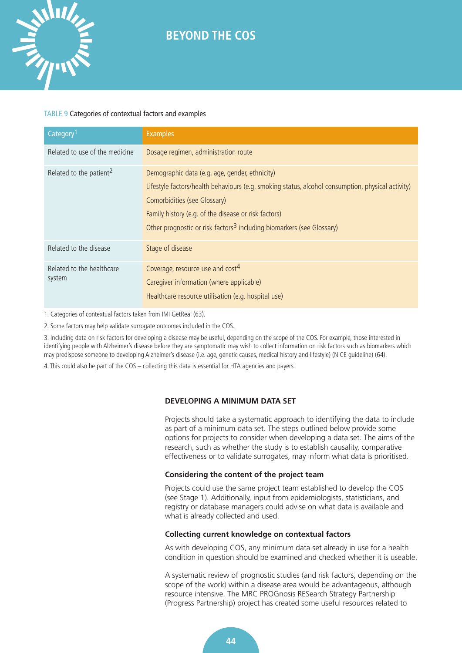### TABLE 9 Categories of contextual factors and examples

<span id="page-47-0"></span>**WILLIANS** 

| Category <sup>1</sup>               | <b>Examples</b>                                                                                                                                                                                                                                                                                                                  |
|-------------------------------------|----------------------------------------------------------------------------------------------------------------------------------------------------------------------------------------------------------------------------------------------------------------------------------------------------------------------------------|
| Related to use of the medicine      | Dosage regimen, administration route                                                                                                                                                                                                                                                                                             |
| Related to the patient <sup>2</sup> | Demographic data (e.g. age, gender, ethnicity)<br>Lifestyle factors/health behaviours (e.g. smoking status, alcohol consumption, physical activity)<br>Comorbidities (see Glossary)<br>Family history (e.g. of the disease or risk factors)<br>Other prognostic or risk factors <sup>3</sup> including biomarkers (see Glossary) |
| Related to the disease              | Stage of disease                                                                                                                                                                                                                                                                                                                 |
| Related to the healthcare<br>system | Coverage, resource use and cost <sup>4</sup><br>Caregiver information (where applicable)<br>Healthcare resource utilisation (e.g. hospital use)                                                                                                                                                                                  |

1. Categories of contextual factors taken from IMI GetReal (63).

2. Some factors may help validate surrogate outcomes included in the COS.

3. Including data on risk factors for developing a disease may be useful, depending on the scope of the COS. For example, those interested in identifying people with Alzheimer's disease before they are symptomatic may wish to collect information on risk factors such as biomarkers which may predispose someone to developing Alzheimer's disease (i.e. age, genetic causes, medical history and lifestyle) (NICE guideline) (64).

4. This could also be part of the COS – collecting this data is essential for HTA agencies and payers.

### **DEVELOPING A MINIMUM DATA SET**

Projects should take a systematic approach to identifying the data to include as part of a minimum data set. The steps outlined below provide some options for projects to consider when developing a data set. The aims of the research, such as whether the study is to establish causality, comparative effectiveness or to validate surrogates, may inform what data is prioritised.

### **Considering the content of the project team**

Projects could use the same project team established to develop the COS (see Stage 1). Additionally, input from epidemiologists, statisticians, and registry or database managers could advise on what data is available and what is already collected and used.

#### **Collecting current knowledge on contextual factors**

As with developing COS, any minimum data set already in use for a health condition in question should be examined and checked whether it is useable.

A systematic review of prognostic studies (and risk factors, depending on the scope of the work) within a disease area would be advantageous, although resource intensive. The MRC PROGnosis RESearch Strategy Partnership (Progress Partnership) project has created some useful resources related to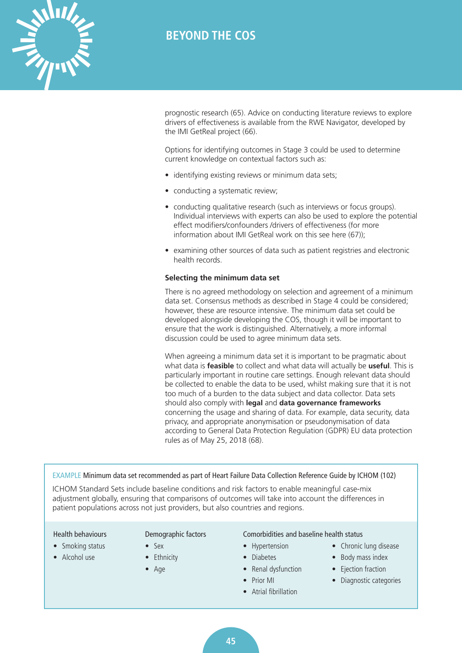

prognostic research (65). Advice on conducting literature reviews to explore drivers of effectiveness is available from the RWE Navigator, developed by the IMI GetReal project (66).

Options for identifying outcomes in Stage 3 could be used to determine current knowledge on contextual factors such as:

- identifying existing reviews or minimum data sets;
- conducting a systematic review;
- conducting qualitative research (such as interviews or focus groups). Individual interviews with experts can also be used to explore the potential effect modifiers/confounders /drivers of effectiveness (for more information about IMI GetReal work on this see here (67));
- examining other sources of data such as patient registries and electronic health records.

#### **Selecting the minimum data set**

There is no agreed methodology on selection and agreement of a minimum data set. Consensus methods as described in Stage 4 could be considered; however, these are resource intensive. The minimum data set could be developed alongside developing the COS, though it will be important to ensure that the work is distinguished. Alternatively, a more informal discussion could be used to agree minimum data sets.

When agreeing a minimum data set it is important to be pragmatic about what data is **feasible** to collect and what data will actually be **useful**. This is particularly important in routine care settings. Enough relevant data should be collected to enable the data to be used, whilst making sure that it is not too much of a burden to the data subject and data collector. Data sets should also comply with **legal** and **data governance frameworks** concerning the usage and sharing of data. For example, data security, data privacy, and appropriate anonymisation or pseudonymisation of data according to General Data Protection Regulation (GDPR) EU data protection rules as of May 25, 2018 (68).

#### EXAMPLE Minimum data set recommended as part of Heart Failure Data Collection Reference Guide by ICHOM (102)

ICHOM Standard Sets include baseline conditions and risk factors to enable meaningful case-mix adjustment globally, ensuring that comparisons of outcomes will take into account the differences in patient populations across not just providers, but also countries and regions.

### Health behaviours

<span id="page-48-0"></span>**WINTER** 

- Smoking status
- Alcohol use

### Demographic factors

- Sex
- Ethnicity
- Age

### Comorbidities and baseline health status

- Hypertension
- Diabetes
- Renal dysfunction
- Prior MI
- Atrial fibrillation
- Chronic lung disease
- Body mass index
- Ejection fraction
- Diagnostic categories

**45**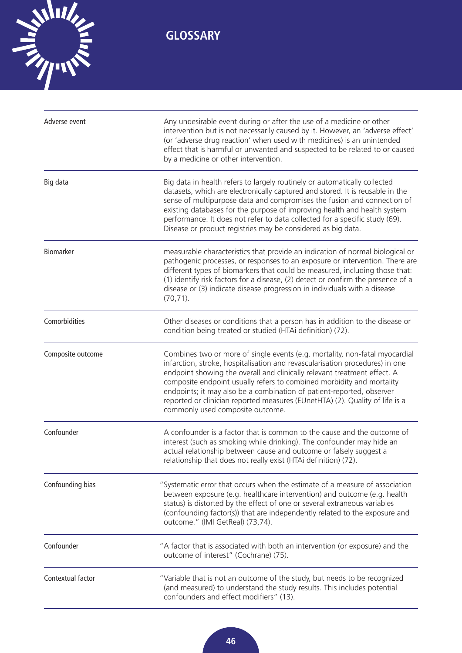<span id="page-49-0"></span>

| Adverse event     | Any undesirable event during or after the use of a medicine or other<br>intervention but is not necessarily caused by it. However, an 'adverse effect'<br>(or 'adverse drug reaction' when used with medicines) is an unintended<br>effect that is harmful or unwanted and suspected to be related to or caused<br>by a medicine or other intervention.                                                                                                                                                       |
|-------------------|---------------------------------------------------------------------------------------------------------------------------------------------------------------------------------------------------------------------------------------------------------------------------------------------------------------------------------------------------------------------------------------------------------------------------------------------------------------------------------------------------------------|
| Big data          | Big data in health refers to largely routinely or automatically collected<br>datasets, which are electronically captured and stored. It is reusable in the<br>sense of multipurpose data and compromises the fusion and connection of<br>existing databases for the purpose of improving health and health system<br>performance. It does not refer to data collected for a specific study (69).<br>Disease or product registries may be considered as big data.                                              |
| Biomarker         | measurable characteristics that provide an indication of normal biological or<br>pathogenic processes, or responses to an exposure or intervention. There are<br>different types of biomarkers that could be measured, including those that:<br>(1) identify risk factors for a disease, (2) detect or confirm the presence of a<br>disease or (3) indicate disease progression in individuals with a disease<br>$(70, 71)$ .                                                                                 |
| Comorbidities     | Other diseases or conditions that a person has in addition to the disease or<br>condition being treated or studied (HTAi definition) (72).                                                                                                                                                                                                                                                                                                                                                                    |
| Composite outcome | Combines two or more of single events (e.g. mortality, non-fatal myocardial<br>infarction, stroke, hospitalisation and revascularisation procedures) in one<br>endpoint showing the overall and clinically relevant treatment effect. A<br>composite endpoint usually refers to combined morbidity and mortality<br>endpoints; it may also be a combination of patient-reported, observer<br>reported or clinician reported measures (EUnetHTA) (2). Quality of life is a<br>commonly used composite outcome. |
| Confounder        | A confounder is a factor that is common to the cause and the outcome of<br>interest (such as smoking while drinking). The confounder may hide an<br>actual relationship between cause and outcome or falsely suggest a<br>relationship that does not really exist (HTAi definition) (72).                                                                                                                                                                                                                     |
| Confounding bias  | "Systematic error that occurs when the estimate of a measure of association<br>between exposure (e.g. healthcare intervention) and outcome (e.g. health<br>status) is distorted by the effect of one or several extraneous variables<br>(confounding factor(s)) that are independently related to the exposure and<br>outcome." (IMI GetReal) (73,74).                                                                                                                                                        |
| Confounder        | "A factor that is associated with both an intervention (or exposure) and the<br>outcome of interest" (Cochrane) (75).                                                                                                                                                                                                                                                                                                                                                                                         |
| Contextual factor | "Variable that is not an outcome of the study, but needs to be recognized<br>(and measured) to understand the study results. This includes potential<br>confounders and effect modifiers" (13).                                                                                                                                                                                                                                                                                                               |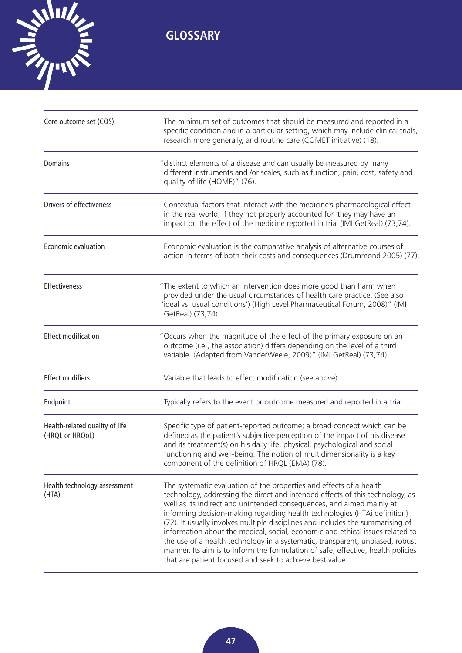

| Core outcome set (COS)                            | The minimum set of outcomes that should be measured and reported in a<br>specific condition and in a particular setting, which may include clinical trials,<br>research more generally, and routine care (COMET initiative) (18).                                                                                                                                                                                                                                                                                                                                                                                                                                                                              |
|---------------------------------------------------|----------------------------------------------------------------------------------------------------------------------------------------------------------------------------------------------------------------------------------------------------------------------------------------------------------------------------------------------------------------------------------------------------------------------------------------------------------------------------------------------------------------------------------------------------------------------------------------------------------------------------------------------------------------------------------------------------------------|
| Domains                                           | "distinct elements of a disease and can usually be measured by many<br>different instruments and /or scales, such as function, pain, cost, safety and<br>quality of life (HOME)" (76).                                                                                                                                                                                                                                                                                                                                                                                                                                                                                                                         |
| Drivers of effectiveness                          | Contextual factors that interact with the medicine's pharmacological effect<br>in the real world; if they not properly accounted for, they may have an<br>impact on the effect of the medicine reported in trial (IMI GetReal) (73,74).                                                                                                                                                                                                                                                                                                                                                                                                                                                                        |
| Economic evaluation                               | Economic evaluation is the comparative analysis of alternative courses of<br>action in terms of both their costs and consequences (Drummond 2005) (77).                                                                                                                                                                                                                                                                                                                                                                                                                                                                                                                                                        |
| <b>Effectiveness</b>                              | "The extent to which an intervention does more good than harm when<br>provided under the usual circumstances of health care practice. (See also<br>'ideal vs. usual conditions') (High Level Pharmaceutical Forum, 2008)" (IMI<br>GetReal) (73,74).                                                                                                                                                                                                                                                                                                                                                                                                                                                            |
| <b>Effect modification</b>                        | "Occurs when the magnitude of the effect of the primary exposure on an<br>outcome (i.e., the association) differs depending on the level of a third<br>variable. (Adapted from VanderWeele, 2009)" (IMI GetReal) (73,74).                                                                                                                                                                                                                                                                                                                                                                                                                                                                                      |
| <b>Effect modifiers</b>                           | Variable that leads to effect modification (see above).                                                                                                                                                                                                                                                                                                                                                                                                                                                                                                                                                                                                                                                        |
| Endpoint                                          | Typically refers to the event or outcome measured and reported in a trial.                                                                                                                                                                                                                                                                                                                                                                                                                                                                                                                                                                                                                                     |
| Health-related quality of life<br>(HRQL or HRQoL) | Specific type of patient-reported outcome; a broad concept which can be<br>defined as the patient's subjective perception of the impact of his disease<br>and its treatment(s) on his daily life, physical, psychological and social<br>functioning and well-being. The notion of multidimensionality is a key<br>component of the definition of HRQL (EMA) (78).                                                                                                                                                                                                                                                                                                                                              |
| Health technology assessment<br>(HTA)             | The systematic evaluation of the properties and effects of a health<br>technology, addressing the direct and intended effects of this technology, as<br>well as its indirect and unintended consequences, and aimed mainly at<br>informing decision-making regarding health technologies (HTAi definition)<br>(72). It usually involves multiple disciplines and includes the summarising of<br>information about the medical, social, economic and ethical issues related to<br>the use of a health technology in a systematic, transparent, unbiased, robust<br>manner. Its aim is to inform the formulation of safe, effective, health policies<br>that are patient focused and seek to achieve best value. |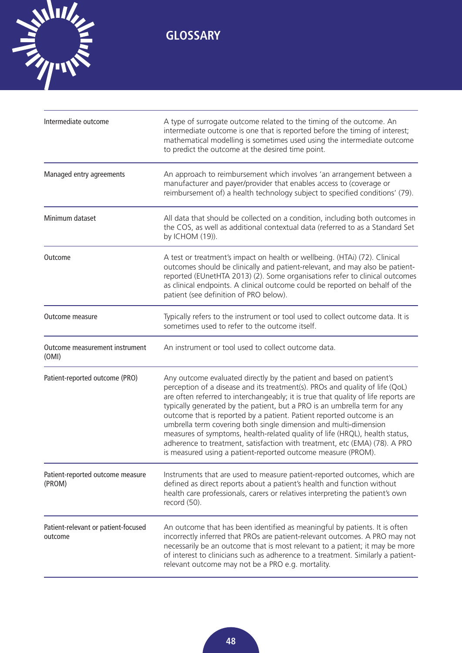

| Intermediate outcome                           | A type of surrogate outcome related to the timing of the outcome. An<br>intermediate outcome is one that is reported before the timing of interest;<br>mathematical modelling is sometimes used using the intermediate outcome<br>to predict the outcome at the desired time point.                                                                                                                                                                                                                                                                                                                                                                                                               |
|------------------------------------------------|---------------------------------------------------------------------------------------------------------------------------------------------------------------------------------------------------------------------------------------------------------------------------------------------------------------------------------------------------------------------------------------------------------------------------------------------------------------------------------------------------------------------------------------------------------------------------------------------------------------------------------------------------------------------------------------------------|
| Managed entry agreements                       | An approach to reimbursement which involves 'an arrangement between a<br>manufacturer and payer/provider that enables access to (coverage or<br>reimbursement of) a health technology subject to specified conditions' (79).                                                                                                                                                                                                                                                                                                                                                                                                                                                                      |
| Minimum dataset                                | All data that should be collected on a condition, including both outcomes in<br>the COS, as well as additional contextual data (referred to as a Standard Set<br>by ICHOM (19)).                                                                                                                                                                                                                                                                                                                                                                                                                                                                                                                  |
| Outcome                                        | A test or treatment's impact on health or wellbeing. (HTAi) (72). Clinical<br>outcomes should be clinically and patient-relevant, and may also be patient-<br>reported (EUnetHTA 2013) (2). Some organisations refer to clinical outcomes<br>as clinical endpoints. A clinical outcome could be reported on behalf of the<br>patient (see definition of PRO below).                                                                                                                                                                                                                                                                                                                               |
| Outcome measure                                | Typically refers to the instrument or tool used to collect outcome data. It is<br>sometimes used to refer to the outcome itself.                                                                                                                                                                                                                                                                                                                                                                                                                                                                                                                                                                  |
| Outcome measurement instrument<br>(OMI)        | An instrument or tool used to collect outcome data.                                                                                                                                                                                                                                                                                                                                                                                                                                                                                                                                                                                                                                               |
| Patient-reported outcome (PRO)                 | Any outcome evaluated directly by the patient and based on patient's<br>perception of a disease and its treatment(s). PROs and quality of life (QoL)<br>are often referred to interchangeably; it is true that quality of life reports are<br>typically generated by the patient, but a PRO is an umbrella term for any<br>outcome that is reported by a patient. Patient reported outcome is an<br>umbrella term covering both single dimension and multi-dimension<br>measures of symptoms, health-related quality of life (HRQL), health status,<br>adherence to treatment, satisfaction with treatment, etc (EMA) (78). A PRO<br>is measured using a patient-reported outcome measure (PROM). |
| Patient-reported outcome measure<br>(PROM)     | Instruments that are used to measure patient-reported outcomes, which are<br>defined as direct reports about a patient's health and function without<br>health care professionals, carers or relatives interpreting the patient's own<br>record (50).                                                                                                                                                                                                                                                                                                                                                                                                                                             |
| Patient-relevant or patient-focused<br>outcome | An outcome that has been identified as meaningful by patients. It is often<br>incorrectly inferred that PROs are patient-relevant outcomes. A PRO may not<br>necessarily be an outcome that is most relevant to a patient; it may be more<br>of interest to clinicians such as adherence to a treatment. Similarly a patient-<br>relevant outcome may not be a PRO e.g. mortality.                                                                                                                                                                                                                                                                                                                |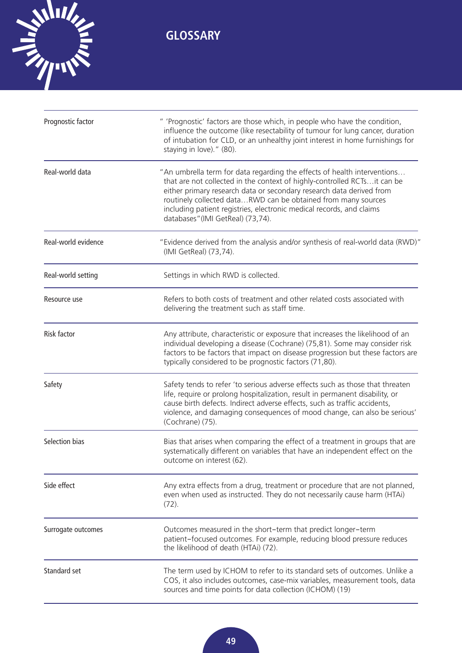

| Prognostic factor   | " 'Prognostic' factors are those which, in people who have the condition,<br>influence the outcome (like resectability of tumour for lung cancer, duration<br>of intubation for CLD, or an unhealthy joint interest in home furnishings for<br>staying in love)." (80).                                                                                                                                    |
|---------------------|------------------------------------------------------------------------------------------------------------------------------------------------------------------------------------------------------------------------------------------------------------------------------------------------------------------------------------------------------------------------------------------------------------|
| Real-world data     | "An umbrella term for data regarding the effects of health interventions<br>that are not collected in the context of highly-controlled RCTs it can be<br>either primary research data or secondary research data derived from<br>routinely collected dataRWD can be obtained from many sources<br>including patient registries, electronic medical records, and claims<br>databases"(IMI GetReal) (73,74). |
| Real-world evidence | "Evidence derived from the analysis and/or synthesis of real-world data (RWD)"<br>(IMI GetReal) (73,74).                                                                                                                                                                                                                                                                                                   |
| Real-world setting  | Settings in which RWD is collected.                                                                                                                                                                                                                                                                                                                                                                        |
| Resource use        | Refers to both costs of treatment and other related costs associated with<br>delivering the treatment such as staff time.                                                                                                                                                                                                                                                                                  |
| Risk factor         | Any attribute, characteristic or exposure that increases the likelihood of an<br>individual developing a disease (Cochrane) (75,81). Some may consider risk<br>factors to be factors that impact on disease progression but these factors are<br>typically considered to be prognostic factors (71,80).                                                                                                    |
| Safety              | Safety tends to refer 'to serious adverse effects such as those that threaten<br>life, require or prolong hospitalization, result in permanent disability, or<br>cause birth defects. Indirect adverse effects, such as traffic accidents,<br>violence, and damaging consequences of mood change, can also be serious'<br>(Cochrane) (75).                                                                 |
| Selection bias      | Bias that arises when comparing the effect of a treatment in groups that are<br>systematically different on variables that have an independent effect on the<br>outcome on interest (62).                                                                                                                                                                                                                  |
| Side effect         | Any extra effects from a drug, treatment or procedure that are not planned,<br>even when used as instructed. They do not necessarily cause harm (HTAi)<br>$(72)$ .                                                                                                                                                                                                                                         |
| Surrogate outcomes  | Outcomes measured in the short-term that predict longer-term<br>patient-focused outcomes. For example, reducing blood pressure reduces<br>the likelihood of death (HTAi) (72).                                                                                                                                                                                                                             |
| Standard set        | The term used by ICHOM to refer to its standard sets of outcomes. Unlike a<br>COS, it also includes outcomes, case-mix variables, measurement tools, data<br>sources and time points for data collection (ICHOM) (19)                                                                                                                                                                                      |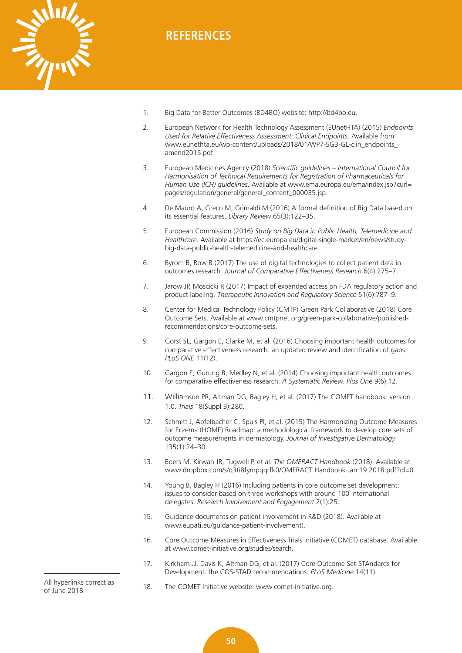<span id="page-53-0"></span>

- 1. Big Data for Better Outcomes (BD4BO) website: [http://bd4bo.eu.](http://bd4bo.eu)
- 2. European Network for Health Technology Assessment (EUnetHTA) (2015) *Endpoints Used for Relative Effectiveness Assessment: Clinical Endpoints*. Available from [www.eunethta.eu/wp-content/uploads/2018/01/WP7-SG3-GL-clin\\_endpoints\\_](http://www.eunethta.eu/wp-content/uploads/2018/01/WP7-SG3-GL-clin_endpoints_amend2015.pdf) amend2015.pdf.
- 3. European Medicines Agency (2018) *Scientific guidelines International Council for Harmonisation of Technical Requirements for Registration of Pharmaceuticals for Human Use (ICH) guidelines*[. Available at www.ema.europa.eu/ema/index.jsp?curl=](http://www.ema.europa.eu/ema/index.jsp?curl=pages/regulation/general/general_content_000035.jsp) pages/regulation/general/general\_content\_000035.jsp.
- 4. De Mauro A, Greco M, Grimaldi M (2016) A formal definition of Big Data based on its essential features. *Library Review* 65(3):122–35.
- 5. European Commission (2016) *Study on Big Data in Public Health, Telemedicine and Healthcare*[. Available at https://ec.europa.eu/digital-single-market/en/news/study](https://ec.europa.eu/digital-single-market/en/news/study-big-data-public-health-telemedicine-and-healthcare)big-[data-public-health-telemedicine-and-healthcare.](https://ec.europa.eu/digital-single-market/en/news/study-big-data-public-health-telemedicine-and-healthcare)
- 6. Byrom B, Row B (2017) The use of digital technologies to collect patient data in outcomes research. *Journal of Comparative Effectiveness Research* 6(4):275–7.
- 7. Jarow JP, Moscicki R (2017) Impact of expanded access on FDA regulatory action and product labeling. *Therapeutic Innovation and Regulatory Science* 51(6):787–9.
- 8. Center for Medical Technology Policy (CMTP) Green Park Collaborative (2018) Core [Outcome Sets. Available at www.cmtpnet.org/green-park-collaborative/published](http://www.cmtpnet.org/green-park-collaborative/published-recommendations/core-outcome-sets)recommendations/[core-outcome-sets.](http://www.cmtpnet.org/green-park-collaborative/published-recommendations/core-outcome-sets)
- 9. Gorst SL, Gargon E, Clarke M, et al. (2016) Choosing important health outcomes for comparative effectiveness research: an updated review and identification of gaps. *PLoS ONE* 11(12).
- 10. Gargon E, Gurung B, Medley N, et al. (2014) Choosing important health outcomes for comparative effectiveness research. *A Systematic Review. Plos One* 9(6):12.
- 11. Williamson PR, Altman DG, Bagley H, et al. (2017) The COMET handbook: version 1.0. *Trials* 18(Suppl 3):280.
- 12. Schmitt J, Apfelbacher C, Spuls PI, et al. (2015) The Harmonizing Outcome Measures for Eczema (HOME) Roadmap: a methodological framework to develop core sets of outcome measurements in dermatology. *Journal of Investigative Dermatology* 135(1):24–30.
- 13. Boers M, Kirwan JR, Tugwell P, et al. *The OMERACT Handbook* (2018). Available at [www.dropbox.com/s/q3ti8fympqqrfk0/OMERACT Ha](http://www.dropbox.com/s/q3ti8fympqqrfk0/OMERACT)ndbook Jan 19 2018.pdf?dl=0
- 14. Young B, Bagley H (2016) Including patients in core outcome set development: issues to consider based on three workshops with around 100 international delegates. *Research Involvement and Engagement* 2(1):25.
- 15. Guidance documents on patient involvement in R&D (2018). Available at [www.eupati.eu/guidance-patient-involvement\).](http://www.eupati.eu/guidance-patient-involvement)
- 16. Core Outcome Measures in Effectiveness Trials Initiative (COMET) database. Available at [www.comet-initiative.org/studies/search.](http://www.comet-initiative.org/studies/search)
- 17. Kirkham JJ, Davis K, Altman DG, et al. (2017) Core Outcome Set-STAndards for Development: the COS-STAD recommendations. *PLoS Medicine* 14(11).

All hyperlinks correct as of June 2018

18. The COMET Initiative website: [www.comet-initiative.org.](http://www.comet-initiative.org)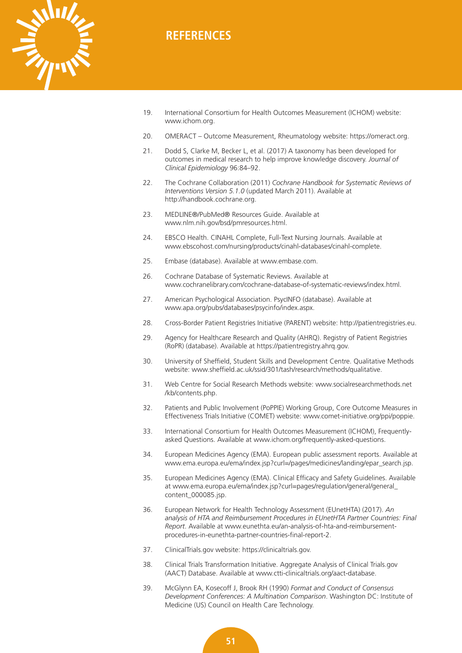

- 19. International Consortium for Health Outcomes Measurement (ICHOM) website: [www.ichom.org.](http://www.ichom.org)
- 20. OMERACT Outcome Measurement, Rheumatology website: [https://omeract.org.](https://omeract.org)
- 21. Dodd S, Clarke M, Becker L, et al. (2017) A taxonomy has been developed for outcomes in medical research to help improve knowledge discovery. *Journal of Clinical Epidemiology* 96:84–92.
- 22. The Cochrane Collaboration (2011) *Cochrane Handbook for Systematic Reviews of Interventions Version 5.1.0* (updated March 2011). Available at [http://handbook.cochrane.org.](http://handbook.cochrane.org)
- 23. MEDLINE®/PubMed® Resources Guide. Available at [www.nlm.nih.gov/bsd/pmresources.html.](http://www.nlm.nih.gov/bsd/pmresources.html)
- 24. EBSCO Health. CINAHL Complete, Full-Text Nursing Journals. Available at [www.ebscohost.com/nursing/products/cinahl-databases/cinahl-complete.](http://www.ebscohost.com/nursing/products/cinahl-databases/cinahl-complete)
- 25. Embase (database). Available at [www.embase.com.](http://www.embase.com)
- 26. Cochrane Database of Systematic Reviews. Available at [www.cochranelibrary.com/cochrane-database-of-systematic-reviews/index.html.](http://www.cochranelibrary.com/cochrane-database-of-systematic-reviews/index.html)
- 27. American Psychological Association. PsycINFO (database). Available at [www.apa.org/pubs/databases/psycinfo/index.aspx.](http://www.apa.org/pubs/databases/psycinfo/index.aspx)
- 28. Cross-Border Patient Registries Initiative (PARENT) website: [http://patientregistries.eu.](http://patientregistries.eu)
- 29. Agency for Healthcare Research and Quality (AHRQ). Registry of Patient Registries (RoPR) (database). Available at [https://patientregistry.ahrq.gov.](https://patientregistry.ahrq.gov)
- 30. University of Sheffield, Student Skills and Development Centre. Qualitative Methods website: [www.sheffield.ac.uk/ssid/301/tash/research/methods/qualitative.](http://www.sheffield.ac.uk/ssid/301/tash/research/methods/qualitative)
- 31. [Web Centre for Social Research Methods website: www.socialresearchmethods.net](http://www.socialresearchmethods.net/kb/contents.php) /kb/contents.php.
- 32. Patients and Public Involvement (PoPPIE) Working Group, Core Outcome Measures in Effectiveness Trials Initiative (COMET) website: [www.comet-initiative.org/ppi/poppie.](http://www.comet-initiative.org/ppi/poppie)
- 33. International Consortium for Health Outcomes Measurement (ICHOM), Frequentlyasked Questions. Available at [www.ichom.org/frequently-asked-questions.](http://www.ichom.org/frequently-asked-questions)
- 34. European Medicines Agency (EMA). European public assessment reports. Available at [www.ema.europa.eu/ema/index.jsp?curl=/pages/medicines/landing/epar\\_search.jsp.](http://www.ema.europa.eu/ema/index.jsp?curl=/pages/medicines/landing/epar_search.jsp)
- 35. European Medicines Agency (EMA). Clinical Efficacy and Safety Guidelines. Available [at www.ema.europa.eu/ema/index.jsp?curl=pages/regulation/general/general\\_](http://www.ema.europa.eu/ema/index.jsp?curl=pages/regulation/general/general_content_000085.jsp) content\_000085.jsp.
- 36. European Network for Health Technology Assessment (EUnetHTA) (2017). *An analysis of HTA and Reimbursement Procedures in EUnetHTA Partner Countries: Final Report*[. Available at www.eunethta.eu/an-analysis-of-hta-and-reimbursement](http://www.eunethta.eu/an-analysis-of-hta-and-reimbursement-procedures-in-eunethta-partner-countries-final-report-2)procedures-[in-eunethta-partner-countries-final-report-2.](http://www.eunethta.eu/an-analysis-of-hta-and-reimbursement-procedures-in-eunethta-partner-countries-final-report-2)
- 37. ClinicalTrials.gov website: [https://clinicaltrials.gov.](https://clinicaltrials.gov)
- 38. Clinical Trials Transformation Initiative. Aggregate Analysis of Clinical Trials.gov (AACT) Database. Available at [www.ctti-clinicaltrials.org/aact-database.](http://www.ctti-clinicaltrials.org/aact-database)
- 39. McGlynn EA, Kosecoff J, Brook RH (1990) *Format and Conduct of Consensus Development Conferences: A Multination Comparison*. Washington DC: Institute of Medicine (US) Council on Health Care Technology.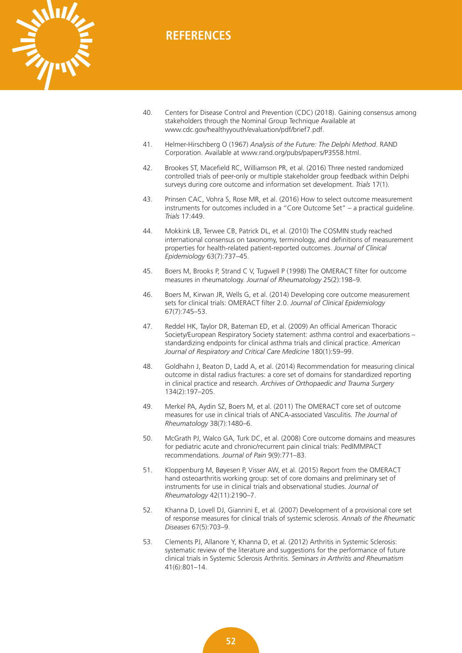

- 40. Centers for Disease Control and Prevention (CDC) (2018). Gaining consensus among stakeholders through the Nominal Group Technique Available at [www.cdc.gov/healthyyouth/evaluation/pdf/brief7.pd](http://www.cdc.gov/healthyyouth/evaluation/pdf/brief7.pdf)f.
- 41. Helmer-Hirschberg O (1967) *Analysis of the Future: The Delphi Method*. RAND Corporation. Available at [www.rand.org/pubs/papers/P3558.html.](http://www.rand.org/pubs/papers/P3558.html)
- 42. Brookes ST, Macefield RC, Williamson PR, et al. (2016) Three nested randomized controlled trials of peer-only or multiple stakeholder group feedback within Delphi surveys during core outcome and information set development. *Trials* 17(1).
- 43. Prinsen CAC, Vohra S, Rose MR, et al. (2016) How to select outcome measurement instruments for outcomes included in a "Core Outcome Set" – a practical guideline. *Trials* 17:449.
- 44. Mokkink LB, Terwee CB, Patrick DL, et al. (2010) The COSMIN study reached international consensus on taxonomy, terminology, and definitions of measurement properties for health-related patient-reported outcomes. *Journal of Clinical Epidemiology* 63(7):737–45.
- 45. Boers M, Brooks P, Strand C V, Tugwell P (1998) The OMERACT filter for outcome measures in rheumatology. *Journal of Rheumatology* 25(2):198–9.
- 46. Boers M, Kirwan JR, Wells G, et al. (2014) Developing core outcome measurement sets for clinical trials: OMERACT filter 2.0. *Journal of Clinical Epidemiology* 67(7):745–53.
- 47. Reddel HK, Taylor DR, Bateman ED, et al. (2009) An official American Thoracic Society/European Respiratory Society statement: asthma control and exacerbations – standardizing endpoints for clinical asthma trials and clinical practice. *American Journal of Respiratory and Critical Care Medicine* 180(1):59–99.
- 48. Goldhahn J, Beaton D, Ladd A, et al. (2014) Recommendation for measuring clinical outcome in distal radius fractures: a core set of domains for standardized reporting in clinical practice and research. *Archives of Orthopaedic and Trauma Surgery* 134(2):197–205.
- 49. Merkel PA, Aydin SZ, Boers M, et al. (2011) The OMERACT core set of outcome measures for use in clinical trials of ANCA-associated Vasculitis. *The Journal of Rheumatology* 38(7):1480–6.
- 50. McGrath PJ, Walco GA, Turk DC, et al. (2008) Core outcome domains and measures for pediatric acute and chronic/recurrent pain clinical trials: PedIMMPACT recommendations. *Journal of Pain* 9(9):771–83.
- 51. Kloppenburg M, Bøyesen P, Visser AW, et al. (2015) Report from the OMERACT hand osteoarthritis working group: set of core domains and preliminary set of instruments for use in clinical trials and observational studies. *Journal of Rheumatology* 42(11):2190–7.
- 52. Khanna D, Lovell DJ, Giannini E, et al. (2007) Development of a provisional core set of response measures for clinical trials of systemic sclerosis. *Annals of the Rheumatic Diseases* 67(5):703–9.
- 53. Clements PJ, Allanore Y, Khanna D, et al. (2012) Arthritis in Systemic Sclerosis: systematic review of the literature and suggestions for the performance of future clinical trials in Systemic Sclerosis Arthritis. *Seminars in Arthritis and Rheumatism* 41(6):801–14.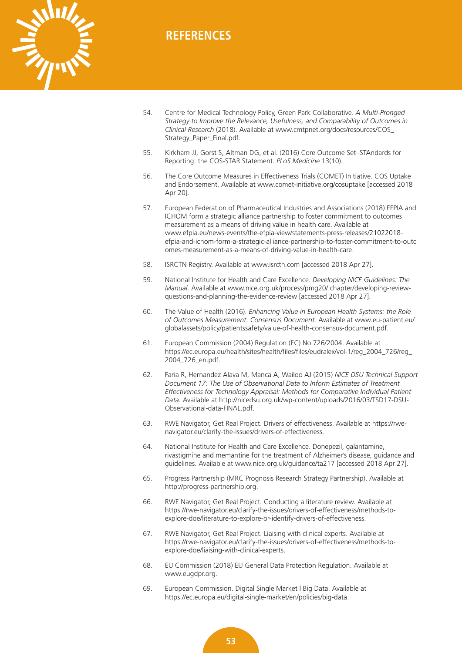

- 54. Centre for Medical Technology Policy, Green Park Collaborative. *A Multi-Pronged Strategy to Improve the Relevance, Usefulness, and Comparability of Outcomes in Clinical Research* [\(2018\). Available at www.cmtpnet.org/docs/resources/COS\\_](http://www.cmtpnet.org/docs/resources/COS_Strategy_Paper_Final.pdf) Strategy\_Paper\_Final.pdf.
- 55. Kirkham JJ, Gorst S, Altman DG, et al. (2016) Core Outcome Set–STAndards for Reporting: the COS-STAR Statement. *PLoS Medicine* 13(10).
- 56. The Core Outcome Measures in Effectiveness Trials (COMET) Initiative. COS Uptake and Endorsement. Available at [www.comet-initiative.org/cosuptake \[a](http://www.comet-initiative.org/cosuptake)ccessed 2018 Apr 20].
- 57. European Federation of Pharmaceutical Industries and Associations (2018) EFPIA and ICHOM form a strategic alliance partnership to foster commitment to outcomes measurement as a means of driving value in health care. Available at www.efpia.eu/news-events/the-efpia-view/statements-press-releases/21022018 [efpia-and-ichom-form-a-strategic-alliance-partnership-to-foster-commitment-to-outc](http://www.efpia.eu/news-events/the-efpia-view/statements-press-releases/21022018-efpia-and-ichom-form-a-strategic-alliance-partnership-to-foster-commitment-to-outcomes-measurement-as-a-means-of-driving-value-in-health-care) omes-measurement-as-a-means-of-driving-value-in-health-care.
- 58. ISRCTN Registry. Available at [www.isrctn.com \[a](http://www.isrctn.com)ccessed 2018 Apr 27].
- 59. National Institute for Health and Care Excellence. *Developing NICE Guidelines: The Manual*[. Available at www.nice.org.uk/process/pmg20/ chapter/developing-review](www.nice.org.uk/process/pmg20/chapter/developing-review-questions-and-planning-the-evidence-review)questions-and-planning-the-evidence-review [accessed 2018 Apr 27].
- 60. The Value of Health (2016). *Enhancing Value in European Health Systems: the Role of Outcomes Measurement. Consensus Document.* Available at www.eu-patient.eu/ [globalassets/policy/patientssafety/value-of-health-consensus-document.pdf.](http://www.eu-patient.eu/globalassets/policy/patientssafety/value-of-health-consensus-document.pdf)
- 61. European Commission (2004) Regulation (EC) No 726/2004. Available at [https://ec.europa.eu/health/sites/health/files/files/eudralex/vol-1/reg\\_2004\\_726/reg\\_](https://ec.europa.eu/health/sites/health/files/files/eudralex/vol-1/reg_2004_726/reg_2004_726_en.pdf) 2004\_726\_en.pdf.
- 62. Faria R, Hernandez Alava M, Manca A, Wailoo AJ (2015) *NICE DSU Technical Support Document 17: The Use of Observational Data to Inform Estimates of Treatment Effectiveness for Technology Appraisal: Methods for Comparative Individual Patient Data.* [Available at http://nicedsu.org.uk/wp-content/uploads/2016/03/TSD17-DSU-](http://nicedsu.org.uk/wp-content/uploads/2016/03/TSD17-DSU-Observational-data-FINAL.pdf)Observational[-data-FINAL.pdf.](http://nicedsu.org.uk/wp-content/uploads/2016/03/TSD17-DSU-Observational-data-FINAL.pdf)
- 63. [RWE Navigator, Get Real Project. Drivers of effectiveness. Available at https://rwe](https://rwe-navigator.eu/clarify-the-issues/drivers-of-effectiveness)navigator[.eu/clarify-the-issues/drivers-of-effectiveness.](https://rwe-navigator.eu/clarify-the-issues/drivers-of-effectiveness)
- 64. National Institute for Health and Care Excellence. Donepezil, galantamine, rivastigmine and memantine for the treatment of Alzheimer's disease, guidance and guidelines. Available at [www.nice.org.uk/guidance/ta217 \[a](http://www.nice.org.uk/guidance/ta217)ccessed 2018 Apr 27].
- 65. Progress Partnership (MRC Prognosis Research Strategy Partnership). Available at [http://progress-partnership.org.](http://progress-partnership.org)
- 66. RWE Navigator, Get Real Project. Conducting a literature review. Available at [https://rwe-navigator.eu/clarify-the-issues/drivers-of-effectiveness/methods-to](https://rwe-navigator.eu/clarify-the-issues/drivers-of-effectiveness/methods-to-explore-doe/literature-to-explore-or-identify-drivers-of-effectiveness)explore[-doe/literature-to-explore-or-identify-drivers-of-effectiveness.](https://rwe-navigator.eu/clarify-the-issues/drivers-of-effectiveness/methods-to-explore-doe/literature-to-explore-or-identify-drivers-of-effectiveness)
- 67. RWE Navigator, Get Real Project. Liaising with clinical experts. Available at [https://rwe-navigator.eu/clarify-the-issues/drivers-of-effectiveness/methods-to](https://rwe-navigator.eu/clarify-the-issues/drivers-of-effectiveness/methods-to-explore-doe/liaising-with-clinical-experts)explore[-doe/liaising-with-clinical-experts.](https://rwe-navigator.eu/clarify-the-issues/drivers-of-effectiveness/methods-to-explore-doe/liaising-with-clinical-experts)
- 68. EU Commission (2018) EU General Data Protection Regulation. Available at [www.eugdpr.org.](http://www.eugdpr.org)
- 69. European Commission. Digital Single Market | Big Data. Available at [https://ec.europa.eu/digital-single-market/en/policies/big-data.](https://ec.europa.eu/digital-single-market/en/policies/big-data)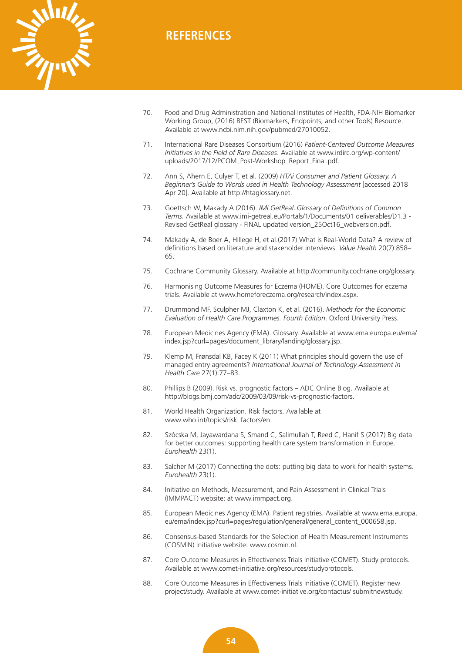

- 70. Food and Drug Administration and National Institutes of Health, FDA-NIH Biomarker Working Group, (2016) BEST (Biomarkers, Endpoints, and other Tools) Resource. Available at [www.ncbi.nlm.nih.gov/pubmed/27010052.](http://www.ncbi.nlm.nih.gov/pubmed/27010052)
- 71. International Rare Diseases Consortium (2016) *Patient-Centered Outcome Measures Initiatives in the Field of Rare Diseases*. Available at www.irdirc.org/wp-content/ [uploads/2017/12/PCOM\\_Post-Workshop\\_Report\\_Final.pdf.](http://www.irdirc.org/wp-content/uploads/2017/12/PCOM_Post-Workshop_Report_Final.pdf)
- 72. Ann S, Ahern E, Culyer T, et al. (2009) *HTAi Consumer and Patient Glossary. A Beginner's Guide to Words used in Health Technology Assessment* [accessed 2018 Apr 20]. Available at [http://htaglossary.net.](http://htaglossary.net)
- 73. Goettsch W, Makady A (2016). *IMI GetReal*. *Glossary of Definitions of Common Terms*[. Available at www.imi-getreal.eu/Portals/1/Documents/01 deliverables/D1.3 -](http://www.imi-getreal.eu/Portals/1/Documents/01 deliverables/D1.3 - Revised GetReal glossary - FINAL updated version_25Oct16_webversion.pdf) Revised GetReal glossary - FINAL updated version\_25Oct16\_webversion.pdf.
- 74. Makady A, de Boer A, Hillege H, et al.(2017) What is Real-World Data? A review of definitions based on literature and stakeholder interviews. *Value Health* 20(7):858– 65.
- 75. Cochrane Community Glossary. Available at [http://community.cochrane.org/glossary.](http://community.cochrane.org/glossary)
- 76. Harmonising Outcome Measures for Eczema (HOME). Core Outcomes for eczema trials. Available at [www.homeforeczema.org/research/index.aspx.](http://www.homeforeczema.org/research/index.aspx)
- 77. Drummond MF, Sculpher MJ, Claxton K, et al. (2016). *Methods for the Economic Evaluation of Health Care Programmes. Fourth Edition*. Oxford University Press.
- 78. [European Medicines Agency \(EMA\). Glossary. Available at www.ema.europa.eu/ema/](http://www.ema.europa.eu/ema/index.jsp?curl=pages/document_library/landing/glossary.jsp) index.jsp?curl=pages/document\_library/landing/glossary.jsp.
- 79. Klemp M, Frønsdal KB, Facey K (2011) What principles should govern the use of managed entry agreements? *International Journal of Technology Assessment in Health Care* 27(1):77–83.
- 80. Phillips B (2009). Risk vs. prognostic factors ADC Online Blog. Available at [http://blogs.bmj.com/adc/2009/03/09/risk-vs-prognostic-factors.](http://blogs.bmj.com/adc/2009/03/09/risk-vs-prognostic-factors)
- 81. World Health Organization. Risk factors. Available at [www.who.int/topics/risk\\_factors/en.](http://www.who.int/topics/risk_factors/en)
- 82. Szócska M, Jayawardana S, Smand C, Salimullah T, Reed C, Hanif S (2017) Big data for better outcomes: supporting health care system transformation in Europe. *Eurohealth* 23(1).
- 83. Salcher M (2017) Connecting the dots: putting big data to work for health systems. *Eurohealth* 23(1).
- 84. Initiative on Methods, Measurement, and Pain Assessment in Clinical Trials (IMMPACT) website: at [www.immpact.org.](http://www.immpact.org)
- 85. [European Medicines Agency \(EMA\). Patient registries. Available at www.ema.europa.](http://www.ema.europa.eu/ema/index.jsp?curl=pages/regulation/general/general_content_000658.jsp) eu/ema/index.jsp?curl=pages/regulation/general/general\_content\_000658.jsp.
- 86. Consensus-based Standards for the Selection of Health Measurement Instruments (COSMIN) Initiative website: [www.cosmin.nl.](http://www.cosmin.nl)
- 87. Core Outcome Measures in Effectiveness Trials Initiative (COMET). Study protocols. Available at [www.comet-initiative.org/resources/studyprotocols.](http://www.comet-initiative.org/resources/studyprotocols)
- 88. Core Outcome Measures in Effectiveness Trials Initiative (COMET). Register new project/study. Available at [www.comet-initiative.org/contactus/ submitnewstudy.](http://www.comet-initiative.org/contactus/submitnewstudy)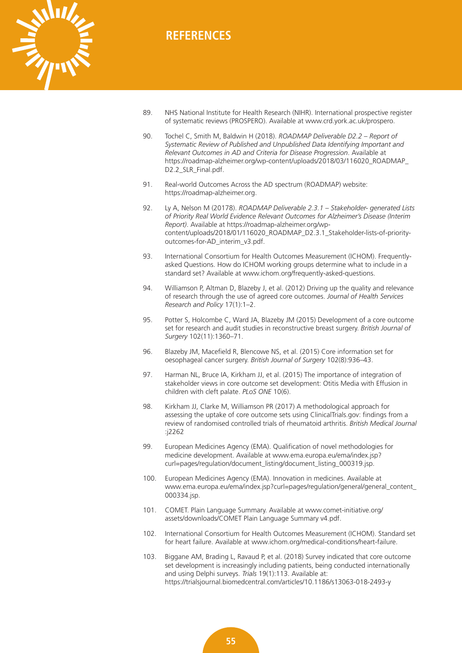

- 89. NHS National Institute for Health Research (NIHR). International prospective register of systematic reviews (PROSPERO). Available at [www.crd.york.ac.uk/prospero.](http://www.crd.york.ac.uk/prospero)
- 90. Tochel C, Smith M, Baldwin H (2018). *ROADMAP Deliverable D2.2 Report of Systematic Review of Published and Unpublished Data Identifying Important and Relevant Outcomes in AD and Criteria for Disease Progression*. Available at [https://roadmap-alzheimer.org/wp-content/uploads/2018/03/116020\\_ROADMAP\\_](https://roadmap-alzheimer.org/wp-content/uploads/2018/03/116020_ROADMAP_D2.2_SLR_Final.pdf) D2.2\_SLR\_Final.pdf.
- 91. Real-world Outcomes Across the AD spectrum (ROADMAP) website: [https://roadmap-alzheimer.org.](https://roadmap-alzheimer.org)
- 92. Ly A, Nelson M (20178). *ROADMAP Deliverable 2.3.1 Stakeholder- generated Lists of Priority Real World Evidence Relevant Outcomes for Alzheimer's Disease (Interim Report)*. Available at https://roadmap-alzheimer.org/wp[content/uploads/2018/01/116020\\_ROADMAP\\_D2.3.1\\_Stakeholder-lists-of-priority](https://roadmap-alzheimer.org/wp-content/uploads/2018/01/116020_ROADMAP_D2.3.1_Stakeholder-lists-of-priority-outcomes-for-AD_interim_v3.pdf)outcomes-for-AD\_interim\_v3.pdf.
- 93. International Consortium for Health Outcomes Measurement (ICHOM). Frequentlyasked Questions. How do ICHOM working groups determine what to include in a standard set? Available at [www.ichom.org/frequently-asked-questions.](http://www.ichom.org/frequently-asked-questions)
- 94. Williamson P, Altman D, Blazeby J, et al. (2012) Driving up the quality and relevance of research through the use of agreed core outcomes. *Journal of Health Services Research and Policy* 17(1):1–2.
- 95. Potter S, Holcombe C, Ward JA, Blazeby JM (2015) Development of a core outcome set for research and audit studies in reconstructive breast surgery. *British Journal of Surgery* 102(11):1360–71.
- 96. Blazeby JM, Macefield R, Blencowe NS, et al. (2015) Core information set for oesophageal cancer surgery. *British Journal of Surgery* 102(8):936–43.
- 97. Harman NL, Bruce IA, Kirkham JJ, et al. (2015) The importance of integration of stakeholder views in core outcome set development: Otitis Media with Effusion in children with cleft palate. *PLoS ONE* 10(6).
- 98. Kirkham JJ, Clarke M, Williamson PR (2017) A methodological approach for assessing the uptake of core outcome sets using ClinicalTrials.gov: findings from a review of randomised controlled trials of rheumatoid arthritis. *British Medical Journal* :j2262
- 99. European Medicines Agency (EMA). Qualification of novel methodologies for [medicine development. Available at www.ema.europa.eu/ema/index.jsp?](http://www.ema.europa.eu/ema/index.jsp?curl=pages/regulation/document_listing/document_listing_000319.jsp) curl=pages/regulation/document\_listing/document\_listing\_000319.jsp.
- 100. European Medicines Agency (EMA). Innovation in medicines. Available at [www.ema.europa.eu/ema/index.jsp?curl=pages/regulation/general/general\\_content\\_](http://www.ema.europa.eu/ema/index.jsp?curl=pages/regulation/general/general_content_) 000334.jsp.
- 101. [COMET. Plain Language Summary. Available at www.comet-initiative.org/](http://www.comet-initiative.org/assets/downloads/COMET Plain Language Summary v4.pdf) assets/downloads/COMET Plain Language Summary v4.pdf.
- 102. International Consortium for Health Outcomes Measurement (ICHOM). Standard set for heart failure. Available at [www.ichom.org/medical-conditions/heart-failure.](http://www.ichom.org/medical-conditions/heart-failure)
- 103. Biggane AM, Brading L, Ravaud P, et al. (2018) Survey indicated that core outcome set development is increasingly including patients, being conducted internationally and using Delphi surveys. *Trials* 19(1):113. Available at: <https://trialsjournal.biomedcentral.com/articles/10.1186/s13063-018-2493-y>